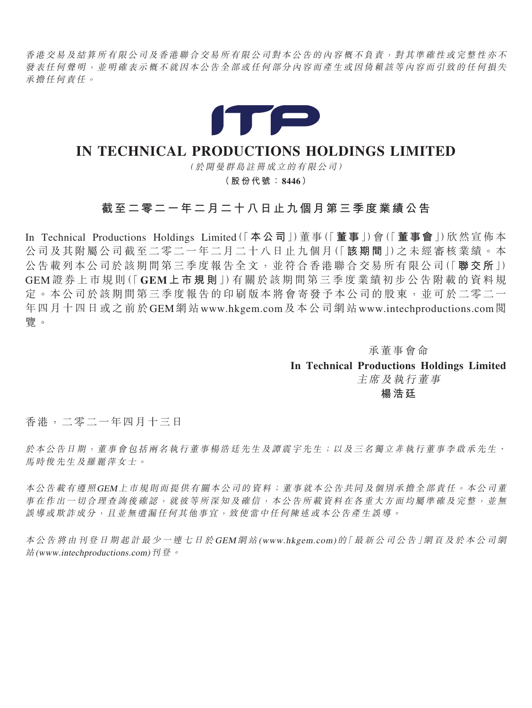香港交易及結算所有限公司及香港聯合交易所有限公司對本公告的內容概不負責,對其準確性或完整性亦不 發表任何聲明,並明確表示概不就因本公告全部或任何部分內容而產生或因倚賴該等內容而引致的任何損失 承擔任何責任。



# IN TECHNICAL PRODUCTIONS HOLDINGS LIMITED

( 於開曼群島註冊成立的有限公司)

(股份代號:8446)

# 截至二零二一年二月二十八日止九個月第三季度業績公告

In Technical Productions Holdings Limited(「本公司」)董事(「董事」)會(「董事會」)欣然宣佈本 公司及其附屬公司截至二零二一年二月二十八日止九個月(「該期間」)之未經審核業績。本 公告載列本公司於該期間第三季度報告全文,並符合香港聯合交易所有限公司(「聯交所」) GEM 證 券 上 市 規 則(「 GEM 上 市 規 則」)有 關 於 該 期 間 第 三 季 度 業 績 初 步 公 告 附 載 的 資 料 規 定。本公司於該期間第三季度報告的印刷版本將會寄發予本公司的股東,並可於二零二一 年四月十四日或之前於GEM網站www.hkgem.com及本公司網站www.intechproductions.com閱 覽。

> 承董事會命 In Technical Productions Holdings Limited 主席及執行董事 楊浩廷

香港,二零二一年四月十三日

於本公告日期,董事會包括兩名執行董事楊浩廷先生及譚震宇先生;以及三名獨立非執行董事李啟承先生、 馬時俊先生及羅麗萍女士。

本公告載有遵照GEM上市規則而提供有關本公司的資料;董事就本公告共同及個別承擔全部責任。本公司董 事在作出一切合理查詢後確認,就彼等所深知及確信,本公告所載資料在各重大方面均屬準確及完整,並無 誤導或欺詐成分,且並無遺漏任何其他事宜,致使當中任何陳述或本公告產生誤導。

本 公 告 將 由 刊 登 日 期 起 計 最 少 <sup>一</sup> 連 七 日 於 GEM 網 站 (www.hkgem.com) 的「 最 新 公 司 公 告」網 頁 及 於 本 公 司 網 站(www.intechproductions.com)刊登。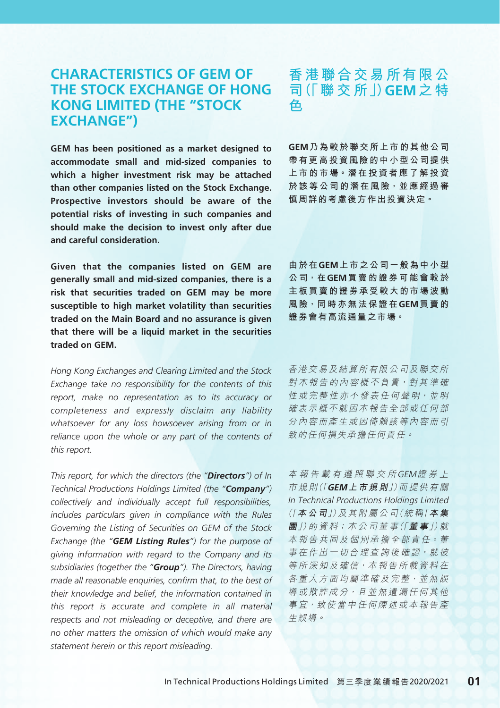## **CHARACTERISTICS OF GEM OF THE STOCK EXCHANGE OF HONG KONG LIMITED (THE "STOCK EXCHANGE")**

**GEM has been positioned as a market designed to accommodate small and mid-sized companies to which a higher investment risk may be attached than other companies listed on the Stock Exchange. Prospective investors should be aware of the potential risks of investing in such companies and should make the decision to invest only after due and careful consideration.**

**Given that the companies listed on GEM are generally small and mid-sized companies, there is a risk that securities traded on GEM may be more susceptible to high market volatility than securities traded on the Main Board and no assurance is given that there will be a liquid market in the securities traded on GEM.**

*Hong Kong Exchanges and Clearing Limited and the Stock Exchange take no responsibility for the contents of this report, make no representation as to its accuracy or completeness and expressly disclaim any liability whatsoever for any loss howsoever arising from or in reliance upon the whole or any part of the contents of this report.*

*This report, for which the directors (the "Directors") of In Technical Productions Holdings Limited (the "Company") collectively and individually accept full responsibilities, includes particulars given in compliance with the Rules Governing the Listing of Securities on GEM of the Stock Exchange (the "GEM Listing Rules") for the purpose of giving information with regard to the Company and its subsidiaries (together the "Group"). The Directors, having made all reasonable enquiries, confirm that, to the best of their knowledge and belief, the information contained in this report is accurate and complete in all material respects and not misleading or deceptive, and there are no other matters the omission of which would make any statement herein or this report misleading.*

## **香港聯合交易所有限公 司(「聯交所」)GEM之特 色**

**GEM乃為較於聯交所上市的其他公司 帶有更高投資風險的中小型公司提供 上市的市場。潛在投資者應了解投資 於該等公司的潛在風險,並應經過審 慎周詳的考慮後方作出投資決定。**

**由於在GEM上市之公司一般為中小型 公司,在GEM買賣的證券可能會較於 主板買賣的證券承受較大的市場波動 風險,同時亦無法保證在GEM買賣的 證券會有高流通量之市場。**

香港交易及結算所有限公司及聯交所 對本報告的內容概不負責,對其準確 性 或 完 整 性 亦 不 發 表 任 何 聲 明 · 並 明 確表示概不就因本報告全部或任何部 分內容而產生或因倚賴該等內容而引 致的任何損失承擔任何責任。

本報告載有遵照聯交所GEM證券上 市 規 則(「**GEM上市規則**」)而 提 供 有 關 In Technical Productions Holdings Limited (「**本公司**」)及 其 附 屬 公 司(統 稱「**本集 團**」)的 資 料;本 公 司 董 事(「**董事**」)就 本 報 告 共 同 及 個 別 承 擔 全 部 責 任。董 事 在 作 出 一 切 合 理 杳 詢 後 確 認, 就 彼 等所深知及確信,本報告所載資料在 各 重 大 方 面 均 屬 準 確 及 完 整 , 並 無 誤 導 或 欺 詐 成 分,且 並 無 遺 漏 任 何 其 他 事宜,致使當中任何陳述或本報告產 生誤導。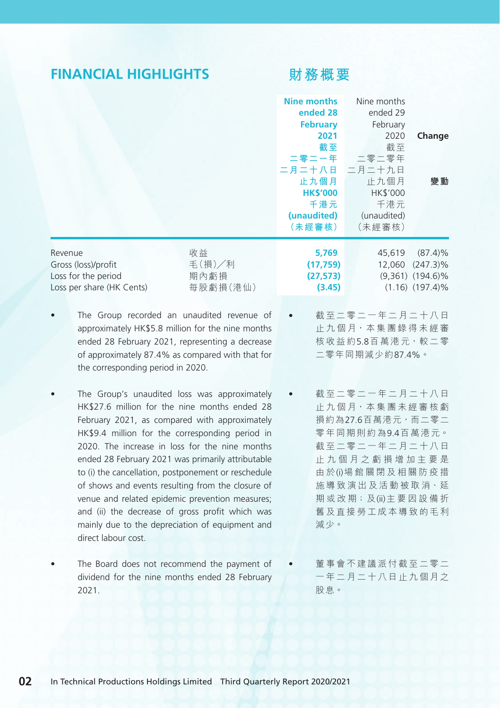## **FINANCIAL HIGHLIGHTS**

## **財務概要**

|                                                                                    |                                                                    | Nine months<br>ended 28<br><b>February</b><br>2021<br>截至<br>二月二十八日 二月二十九日<br>止九個月<br><b>HK\$'000</b><br>千港元<br>(unaudited)<br>(未經審核) | Nine months<br>ended 29<br>February<br>2020<br>截至<br>二零二一年 二零二零年<br>止九個月<br><b>HK\$'000</b><br>千港元<br>(unaudited)<br>(未經審核) | Change<br>變動                                                               |
|------------------------------------------------------------------------------------|--------------------------------------------------------------------|--------------------------------------------------------------------------------------------------------------------------------------|-----------------------------------------------------------------------------------------------------------------------------|----------------------------------------------------------------------------|
| Revenue<br>Gross (loss)/profit<br>Loss for the period<br>Loss per share (HK Cents) | 收益<br>毛 $(\ddagger$ 損 $)/\overline{\lambda}$ 利<br>期內虧損<br>每股虧損(港仙) | 5,769<br>(17, 759)<br>(27, 573)<br>(3.45)                                                                                            | 45,619<br>12,060                                                                                                            | $(87.4)\%$<br>$(247.3)\%$<br>$(9,361)$ $(194.6)\%$<br>$(1.16)$ $(197.4)\%$ |

- The Group recorded an unaudited revenue of approximately HK\$5.8 million for the nine months ended 28 February 2021, representing a decrease of approximately 87.4% as compared with that for the corresponding period in 2020.
- The Group's unaudited loss was approximately HK\$27.6 million for the nine months ended 28 February 2021, as compared with approximately HK\$9.4 million for the corresponding period in 2020. The increase in loss for the nine months ended 28 February 2021 was primarily attributable to (i) the cancellation, postponement or reschedule of shows and events resulting from the closure of venue and related epidemic prevention measures; and (ii) the decrease of gross profit which was mainly due to the depreciation of equipment and direct labour cost.
- The Board does not recommend the payment of dividend for the nine months ended 28 February 2021.
- 截至二零二一年二月二十八日 止 九 個 月,本 集 團 錄 得 未 經 審 核收益約5.8百萬港元,較二零 二零年同期減少約87.4%。
- 截至二零二一年二月二十八日 止九個月,本集團未經審核虧 損約為27.6百萬港元,而二零二 零年同期則約為9.4百 萬 港 元。 截至二零二一年二月二十八日 止九個月之虧損增加主要是 由 於(i)場館關閉及相關防疫措 施 導 致 演 出 及 活 動 被 取 消、延 期 或 改 期;及(ii)主 要 因 設 備 折 舊及直接勞工成本導致的毛利 減少。
	- 董事會不建議派付截至二零二 一年二月二十八日止九個月之 股息。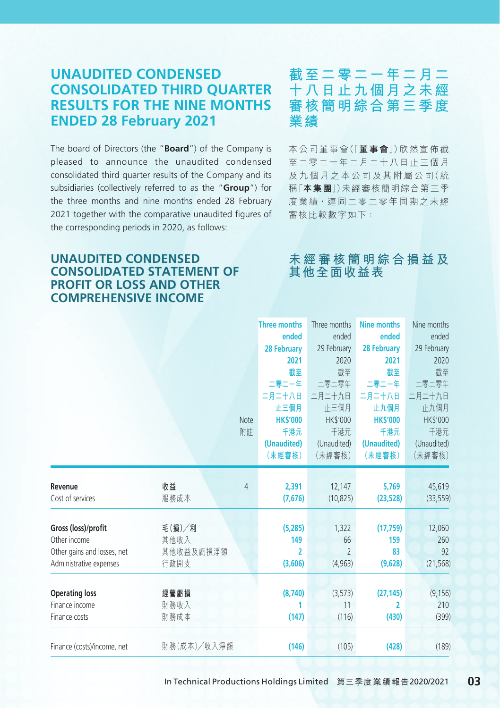## **UNAUDITED CONDENSED CONSOLIDATED THIRD QUARTER RESULTS FOR THE NINE MONTHS ENDED 28 February 2021**

The board of Directors (the "**Board**") of the Company is pleased to announce the unaudited condensed consolidated third quarter results of the Company and its subsidiaries (collectively referred to as the "**Group**") for the three months and nine months ended 28 February 2021 together with the comparative unaudited figures of the corresponding periods in 2020, as follows:

### **UNAUDITED CONDENSED CONSOLIDATED STATEMENT OF PROFIT OR LOSS AND OTHER COMPREHENSIVE INCOME**

## **截至二零二一年二月二 十八日止九個月之未經 審核簡明綜合第三季度 業績**

本 公 司 董 事 會(「**董事會**」)欣 然 宣 佈 截 至二零二一年二月二十八日止三個月 及 九 個 月 之 本 公 司 及 其 附 屬 公 司(統 稱「**本集團**」)未經審核簡明綜合第三季 度 業 績,連 同 二 零 二 零 年 同 期 之 未 經 審核比較數字如下:

## **未經審核簡明綜合損益及 其他全面收益表**

|                             |             | <b>Note</b><br>附註 | <b>Three months</b><br>ended<br>28 February<br>2021<br>截至<br>二零二一年<br>二月二十八日<br>止三個月<br><b>HK\$'000</b><br>千港元<br>(Unaudited)<br>(未經審核) | Three months<br>ended<br>29 February<br>2020<br>截至<br>二零二零年<br>二月二十九日<br>止三個月<br><b>HK\$'000</b><br>千港元<br>(Unaudited)<br>(未經審核) | <b>Nine months</b><br>ended<br>28 February<br>2021<br>截至<br>二零二一年<br>二月二十八日<br>止九個月<br><b>HK\$'000</b><br>千港元<br>(Unaudited)<br>(未經審核) | Nine months<br>ended<br>29 February<br>2020<br>截至<br>二零二零年<br>二月二十九日<br>止九個月<br>HK\$'000<br>千港元<br>(Unaudited)<br>(未經審核) |
|-----------------------------|-------------|-------------------|-----------------------------------------------------------------------------------------------------------------------------------------|----------------------------------------------------------------------------------------------------------------------------------|----------------------------------------------------------------------------------------------------------------------------------------|--------------------------------------------------------------------------------------------------------------------------|
| Revenue                     | 收益          | 4                 | 2,391                                                                                                                                   | 12,147                                                                                                                           | 5,769                                                                                                                                  | 45,619                                                                                                                   |
| Cost of services            | 服務成本        |                   | (7,676)                                                                                                                                 | (10, 825)                                                                                                                        | (23, 528)                                                                                                                              | (33, 559)                                                                                                                |
| Gross (loss)/profit         | 毛(損)/利      |                   | (5,285)                                                                                                                                 | 1,322                                                                                                                            | (17, 759)                                                                                                                              | 12,060                                                                                                                   |
| Other income                | 其他收入        |                   | 149                                                                                                                                     | 66                                                                                                                               | 159                                                                                                                                    | 260                                                                                                                      |
| Other gains and losses, net | 其他收益及虧損淨額   |                   | 2                                                                                                                                       | $\mathcal{P}$                                                                                                                    | 83                                                                                                                                     | 92                                                                                                                       |
| Administrative expenses     | 行政開支        |                   | (3,606)                                                                                                                                 | (4,963)                                                                                                                          | (9,628)                                                                                                                                | (21, 568)                                                                                                                |
| <b>Operating loss</b>       | 經營虧損        |                   | (8,740)                                                                                                                                 | (3,573)                                                                                                                          | (27, 145)                                                                                                                              | (9, 156)                                                                                                                 |
| Finance income              | 財務收入        |                   | 1                                                                                                                                       | 11                                                                                                                               | 2                                                                                                                                      | 210                                                                                                                      |
| Finance costs               | 財務成本        |                   | (147)                                                                                                                                   | (116)                                                                                                                            | (430)                                                                                                                                  | (399)                                                                                                                    |
| Finance (costs)/income, net | 財務(成本)/收入淨額 |                   | (146)                                                                                                                                   | (105)                                                                                                                            | (428)                                                                                                                                  | (189)                                                                                                                    |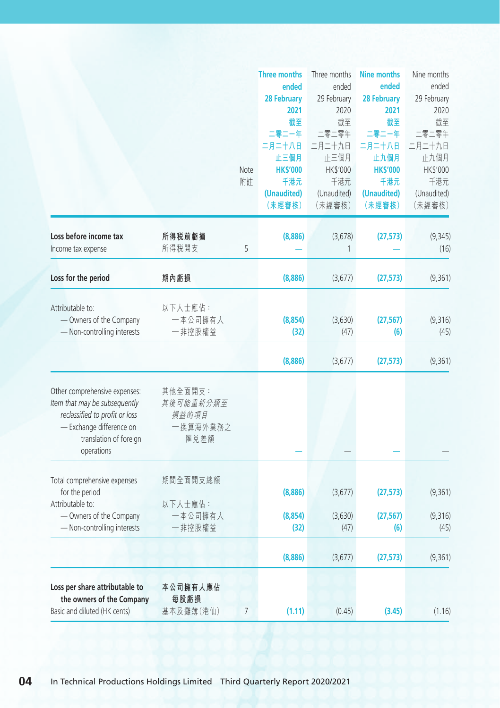|                                |           |                | <b>Three months</b>   | Three months          | <b>Nine months</b>    | Nine months |
|--------------------------------|-----------|----------------|-----------------------|-----------------------|-----------------------|-------------|
|                                |           |                | ended                 | ended                 | ended                 | ended       |
|                                |           |                | <b>28 February</b>    | 29 February           | <b>28 February</b>    | 29 February |
|                                |           |                | 2021                  | 2020                  | 2021                  | 2020        |
|                                |           |                | 截至                    | 截至                    | 截至                    | 截至          |
|                                |           |                | 二零二一年                 | 二零二零年                 | 二零二一年                 | 二零二零年       |
|                                |           |                | 二月二十八日                | 二月二十九日                | 二月二十八日                | 二月二十九日      |
|                                |           |                | 止三個月                  | 止三個月                  | 止九個月                  | 止九個月        |
|                                |           | Note           | <b>HK\$'000</b>       | HK\$'000              | <b>HK\$'000</b>       | HK\$'000    |
|                                |           | 附註             | 千港元                   | 千港元                   | 千港元                   | 千港元         |
|                                |           |                |                       |                       |                       | (Unaudited) |
|                                |           |                | (Unaudited)<br>(未經審核) | (Unaudited)<br>(未經審核) | (Unaudited)<br>(未經審核) | (未經審核)      |
|                                |           |                |                       |                       |                       |             |
| Loss before income tax         | 所得税前虧損    |                | (8,886)               | (3,678)               | (27, 573)             | (9, 345)    |
| Income tax expense             | 所得税開支     | 5              |                       | 1                     |                       | (16)        |
|                                |           |                |                       |                       |                       |             |
| Loss for the period            | 期內虧損      |                | (8,886)               | (3,677)               | (27, 573)             | (9,361)     |
|                                |           |                |                       |                       |                       |             |
| Attributable to:               | 以下人士應佔:   |                |                       |                       |                       |             |
| - Owners of the Company        | 一本公司擁有人   |                | (8,854)               | (3,630)               | (27, 567)             | (9,316)     |
| - Non-controlling interests    | 一非控股權益    |                | (32)                  | (47)                  | (6)                   | (45)        |
|                                |           |                | (8,886)               | (3,677)               | (27, 573)             | (9,361)     |
|                                |           |                |                       |                       |                       |             |
| Other comprehensive expenses:  | 其他全面開支:   |                |                       |                       |                       |             |
| Item that may be subsequently  | 其後可能重新分類至 |                |                       |                       |                       |             |
| reclassified to profit or loss | 損益的項目     |                |                       |                       |                       |             |
| - Exchange difference on       | 一換算海外業務之  |                |                       |                       |                       |             |
| translation of foreign         | 匯兑差額      |                |                       |                       |                       |             |
| operations                     |           |                |                       |                       |                       |             |
| Total comprehensive expenses   | 期間全面開支總額  |                |                       |                       |                       |             |
| for the period                 |           |                | (8,886)               | (3,677)               | (27, 573)             | (9,361)     |
| Attributable to:               | 以下人士應佔:   |                |                       |                       |                       |             |
| - Owners of the Company        | 一本公司擁有人   |                | (8,854)               | (3,630)               | (27, 567)             | (9,316)     |
|                                |           |                |                       |                       |                       |             |
| - Non-controlling interests    | 一非控股權益    |                | (32)                  | (47)                  | (6)                   | (45)        |
|                                |           |                | (8,886)               | (3,677)               | (27, 573)             | (9, 361)    |
| Loss per share attributable to | 本公司擁有人應佔  |                |                       |                       |                       |             |
| the owners of the Company      | 每股虧損      |                |                       |                       |                       |             |
|                                | 基本及攤薄(港仙) | $\overline{7}$ |                       |                       |                       |             |
| Basic and diluted (HK cents)   |           |                | (1.11)                | (0.45)                | (3.45)                | (1.16)      |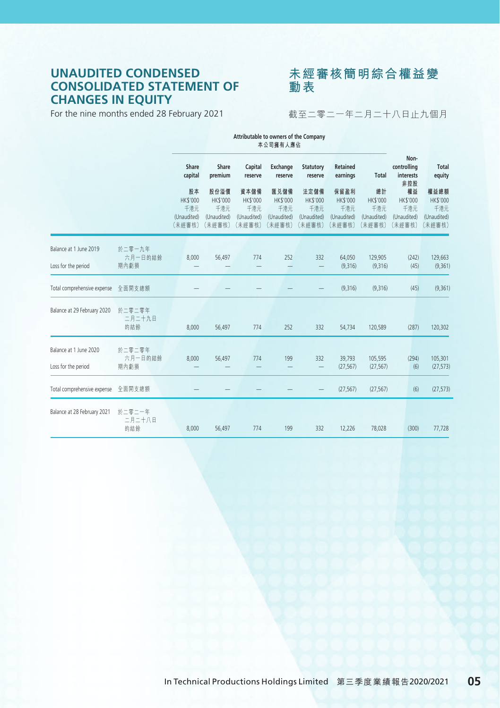### **UNAUDITED CONDENSED CONSOLIDATED STATEMENT OF CHANGES IN EQUITY**

For the nine months ended 28 February 2021



截至二零二一年二月二十八日止九個月

|                                               |                           | Attributable to owners of the Company<br>本公司擁有人應佔 |                                                  |                                                         |                                                         |                                                         |                                                         |                                                       |                                                |                                                  |
|-----------------------------------------------|---------------------------|---------------------------------------------------|--------------------------------------------------|---------------------------------------------------------|---------------------------------------------------------|---------------------------------------------------------|---------------------------------------------------------|-------------------------------------------------------|------------------------------------------------|--------------------------------------------------|
|                                               |                           | Share<br>capital                                  | Share<br>premium                                 | Capital<br>reserve                                      | Exchange<br>reserve                                     | Statutory<br>reserve                                    | Retained<br>earnings                                    | <b>Total</b>                                          | Non-<br>controlling<br>interests<br>非控股        | <b>Total</b><br>equity                           |
|                                               |                           | 股本<br>HK\$'000<br>千港元<br>(Unaudited)<br>(未經審核)    | 股份溢價<br>HK\$'000<br>千港元<br>(Unaudited)<br>(未經審核) | 資本儲備<br><b>HK\$'000</b><br>千港元<br>(Unaudited)<br>(未經審核) | 匯兑儲備<br><b>HK\$'000</b><br>千港元<br>(Unaudited)<br>(未經審核) | 法定儲備<br><b>HK\$'000</b><br>千港元<br>(Unaudited)<br>(未經審核) | 保留盈利<br><b>HK\$'000</b><br>千港元<br>(Unaudited)<br>(未經審核) | 總計<br><b>HK\$'000</b><br>千港元<br>(Unaudited)<br>(未經審核) | 權益<br>HK\$'000<br>千港元<br>(Unaudited)<br>(未經審核) | 權益總額<br>HK\$'000<br>千港元<br>(Unaudited)<br>(未經審核) |
| Balance at 1 June 2019<br>Loss for the period | 於二零一九年<br>六月一日的結餘<br>期內虧損 | 8,000                                             | 56.497                                           | 774                                                     | 252                                                     | 332<br>-                                                | 64,050<br>(9,316)                                       | 129,905<br>(9,316)                                    | (242)<br>(45)                                  | 129,663<br>(9, 361)                              |
| Total comprehensive expense                   | 全面開支總額                    |                                                   |                                                  |                                                         |                                                         |                                                         | (9,316)                                                 | (9,316)                                               | (45)                                           | (9, 361)                                         |
| Balance at 29 February 2020                   | 於二零二零年<br>二月二十九日<br>的結餘   | 8,000                                             | 56.497                                           | 774                                                     | 252                                                     | 332                                                     | 54,734                                                  | 120,589                                               | (287)                                          | 120,302                                          |
| Balance at 1 June 2020<br>Loss for the period | 於二零二零年<br>六月一日的結餘<br>期內虧損 | 8,000                                             | 56.497                                           | 774                                                     | 199                                                     | 332<br>$\overline{\phantom{0}}$                         | 39,793<br>(27, 567)                                     | 105,595<br>(27, 567)                                  | (294)<br>(6)                                   | 105,301<br>(27, 573)                             |
| Total comprehensive expense                   | 全面開支總額                    |                                                   |                                                  |                                                         |                                                         |                                                         | (27, 567)                                               | (27, 567)                                             | (6)                                            | (27, 573)                                        |
| Balance at 28 February 2021                   | 於二零二一年<br>二月二十八日<br>的結餘   | 8,000                                             | 56.497                                           | 774                                                     | 199                                                     | 332                                                     | 12,226                                                  | 78,028                                                | (300)                                          | 77,728                                           |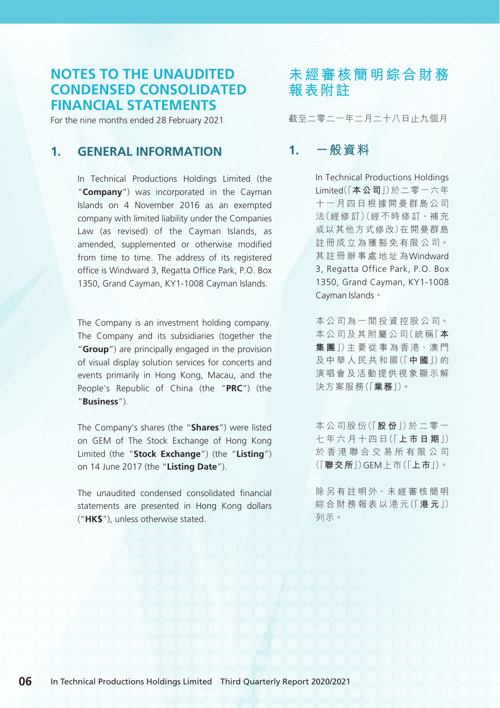### **NOTES TO THE UNAUDITED CONDENSED CONSOLIDATED FINANCIAL STATEMENTS**

For the nine months ended 28 February 2021

### **1. GENERAL INFORMATION**

In Technical Productions Holdings Limited (the "**Company**") was incorporated in the Cayman Islands on 4 November 2016 as an exempted company with limited liability under the Companies Law (as revised) of the Cayman Islands, as amended, supplemented or otherwise modified from time to time. The address of its registered office is Windward 3, Regatta Office Park, P.O. Box 1350, Grand Cayman, KY1-1008 Cayman Islands.

The Company is an investment holding company. The Company and its subsidiaries (together the "**Group**") are principally engaged in the provision of visual display solution services for concerts and events primarily in Hong Kong, Macau, and the People's Republic of China (the "**PRC**") (the "**Business**").

The Company's shares (the "**Shares**") were listed on GEM of The Stock Exchange of Hong Kong Limited (the "**Stock Exchange**") (the "**Listing**") on 14 June 2017 (the "**Listing Date**").

The unaudited condensed consolidated financial statements are presented in Hong Kong dollars ("**HK\$**"), unless otherwise stated.

# **未經審核簡明綜合財務 報表附註**

截至二零二一年二月二十八日止九個月

### **1. 一般資料**

In Technical Productions Holdings Limited(「**本公司**」)於二零一六年 十一月四日根據開曼群島公司 法(經 修 訂)(經 不 時 修 訂、補 充 或以其他方式修改)在開曼群島 註 冊 成 立 為 獲 豁 免 有 限 公 司。 其註冊辦事處地址為Windward 3, Regatta Office Park, P.O. Box 1350, Grand Cayman, KY1-1008 Cayman Islands。

本 公 司 為 一 間 投 資 控 股 公 司。 本 公 司 及 其 附 屬 公 司(統 稱「**本 集 團**」)主 要 從 事 為 香 港、澳 門 及 中 華 人 民 共 和 國(「**中 國**」)的 演唱會及活動提供視象顯示解 決方案服務(「**業務**」)。

本 公 司 股 份(「**股 份**」)於 二 零 一 七 年 六 月 十 四 日(「**上市日期**」) 於香港聯合交易所有限公司 (「**聯交所**」)GEM上市(「**上市**」)。

除 另 有 註 明 外, 未 經 審 核 簡 明 綜 合 財 務 報 表 以 港 元(「**港 元**」) 列示。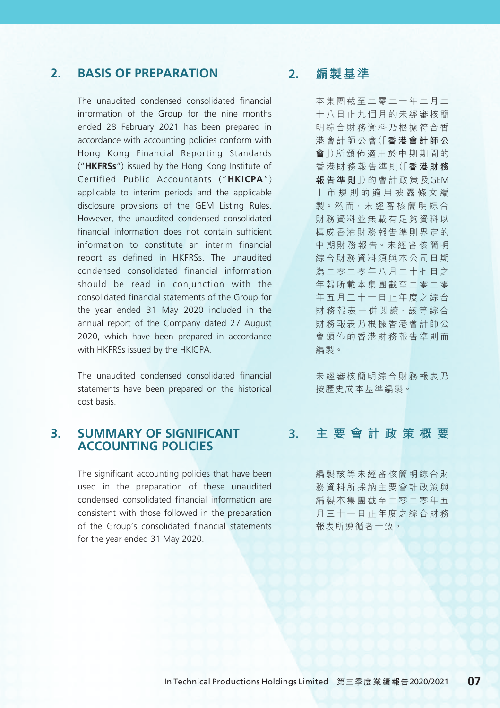### **2. BASIS OF PREPARATION**

The unaudited condensed consolidated financial information of the Group for the nine months ended 28 February 2021 has been prepared in accordance with accounting policies conform with Hong Kong Financial Reporting Standards ("**HKFRSs**") issued by the Hong Kong Institute of Certified Public Accountants ("**HKICPA**") applicable to interim periods and the applicable disclosure provisions of the GEM Listing Rules. However, the unaudited condensed consolidated financial information does not contain sufficient information to constitute an interim financial report as defined in HKFRSs. The unaudited condensed consolidated financial information should be read in conjunction with the consolidated financial statements of the Group for the year ended 31 May 2020 included in the annual report of the Company dated 27 August 2020, which have been prepared in accordance with HKFRSs issued by the HKICPA

The unaudited condensed consolidated financial statements have been prepared on the historical cost basis.

#### **3. SUMMARY OF SIGNIFICANT ACCOUNTING POLICIES**

The significant accounting policies that have been used in the preparation of these unaudited condensed consolidated financial information are consistent with those followed in the preparation of the Group's consolidated financial statements for the year ended 31 May 2020.

### **2. 編製基準**

本集團截至二零二一年二月二 十八日止九個月的未經審核簡 明綜合財務資料乃根據符合香 港 會 計 師 公 會(「**香港會計師公 會**」)所 頒 佈 適 用 於 中 期 期 間 的 香 港 財 務 報 告 準 則(「**香港財務 報告準則**」)的 會 計 政 策 及GEM 上市規則的適用披露條文編 製。然 而,未 經 審 核 簡 明 綜 合 財務資料並無載有足夠資料以 構成香港財務報告準則界定的 中 期 財 務 報 告。未 經 審 核 簡 明 綜合財務資料須與本公司日期 為二零二零年八月二十七日之 年報所載本集團截至二零二零 年五月三十一日止年度之綜合 財 務 報 表 一 併 閣 讀, 該 等 綜 合 財務報表乃根據香港會計師公 會頒佈的香港財務報告準則而 編製。

未經審核簡明綜合財務報表乃 按歷史成本基準編製。

#### **3. 主要會計政策概要**

編製該等未經審核簡明綜合財 務資料所採納主要會計政策與 編製本集團截至二零二零年五 月三十一日止年度之綜合財務 報表所遵循者一致。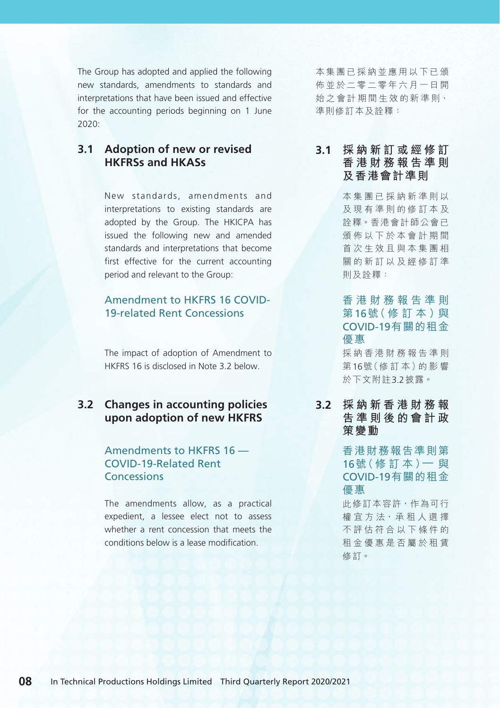The Group has adopted and applied the following new standards, amendments to standards and interpretations that have been issued and effective for the accounting periods beginning on 1 June 2020:

#### **3.1 Adoption of new or revised HKFRSs and HKASs**

New standards, amendments and interpretations to existing standards are adopted by the Group. The HKICPA has issued the following new and amended standards and interpretations that become first effective for the current accounting period and relevant to the Group:

#### Amendment to HKFRS 16 COVID-19-related Rent Concessions

The impact of adoption of Amendment to HKFRS 16 is disclosed in Note 3.2 below.

### **3.2 Changes in accounting policies upon adoption of new HKFRS**

#### Amendments to HKFRS 16 — COVID-19-Related Rent **Concessions**

The amendments allow, as a practical expedient, a lessee elect not to assess whether a rent concession that meets the conditions below is a lease modification.

本集團已採納並應用以下已頒 佈並於二零二零年六月一日開 始 之 會 計 期 間 生 效 的 新 準 則、 準則修訂本及詮釋:

#### **3.1 採納新訂或經修訂 香港財務報告準則 及香港會計準則**

本集團已採納新準則以 及現有準則的修訂本及 詮釋。香港會計師公會已 頒佈以下於本會計期間 首次生效且與本集團相 關的新訂以及經修訂準 則及詮釋:

#### 香港財務報告準則 第16號 ( 修 訂 本 ) 與 COVID-19有關的租金 優惠

採納香港財務報告準則 第16號(修 訂 本)的 影 響 於下文附註3.2披露。

**3.2 採納新香港財務報 告準則後的會計政 策變動**

> 香港財務報告準則第 16號( 修 訂 本 )— 與 COVID-19有關的租金 優惠

> 此修訂本容許,作為可行 權 宜 方 法, 承 租 人 選 擇 不評估符合以下條件的 租金優惠是否屬於租賃 修訂。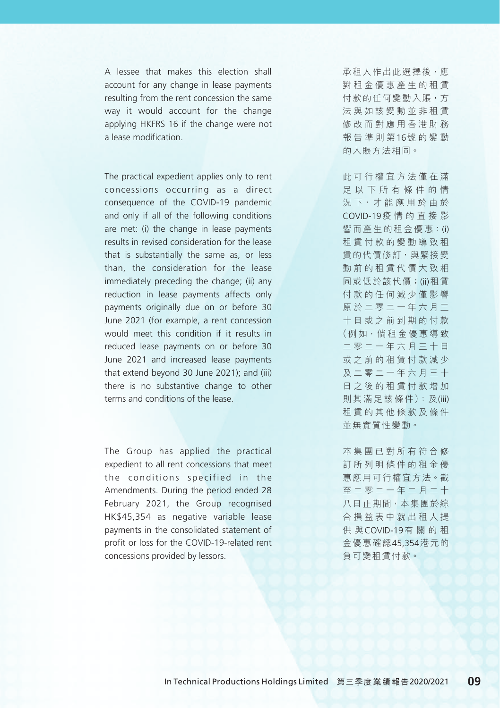A lessee that makes this election shall account for any change in lease payments resulting from the rent concession the same way it would account for the change applying HKFRS 16 if the change were not a lease modification.

The practical expedient applies only to rent concessions occurring as a direct consequence of the COVID-19 pandemic and only if all of the following conditions are met: (i) the change in lease payments results in revised consideration for the lease that is substantially the same as, or less than, the consideration for the lease immediately preceding the change; (ii) any reduction in lease payments affects only payments originally due on or before 30 June 2021 (for example, a rent concession would meet this condition if it results in reduced lease payments on or before 30 June 2021 and increased lease payments that extend beyond 30 June 2021); and (iii) there is no substantive change to other terms and conditions of the lease.

The Group has applied the practical expedient to all rent concessions that meet the conditions specified in the Amendments. During the period ended 28 February 2021, the Group recognised HK\$45,354 as negative variable lease payments in the consolidated statement of profit or loss for the COVID-19-related rent concessions provided by lessors.

承租人作出此選擇後,應 對租金優惠產生的租賃 付款的任何變動入賬,方 法與如該變動並非租賃 修改而對應用香港財務 報告準則第16號的變動 的入賬方法相同。

此可行權宜方法僅在滿 足以下所有條件的情 況 下, 才 能 應 用 於 由 於 COVID-19疫情的直接影 響而產生的租金優惠:(i) 租賃付款的變動導致租 賃的代價修訂,與緊接變 動前的租賃代價大致相 同或低於該代價;(ii)租賃 付款的任何減少僅影響 原於二零二一年六月三 十日或之前到期的付款 (例 如,倘 租 金 優 惠 導 致 二零二一年六月三十日 或之前的租賃付款減少 及二零二一年六月三十 日之後的租賃付款增加 則 其 滿 足 該 條 件);及(iii) 租賃的其他條款及條件 並無實質性變動。

本集團已對所有符合修 訂所列明條件的租金優 惠應用可行權宜方法。截 至二零二一年二月二十 八日止期間,本集團於綜 合損益表中就出租人提 供 與COVID-19有 關 的 和 金優惠確認45,354港元的 負可變租賃付款。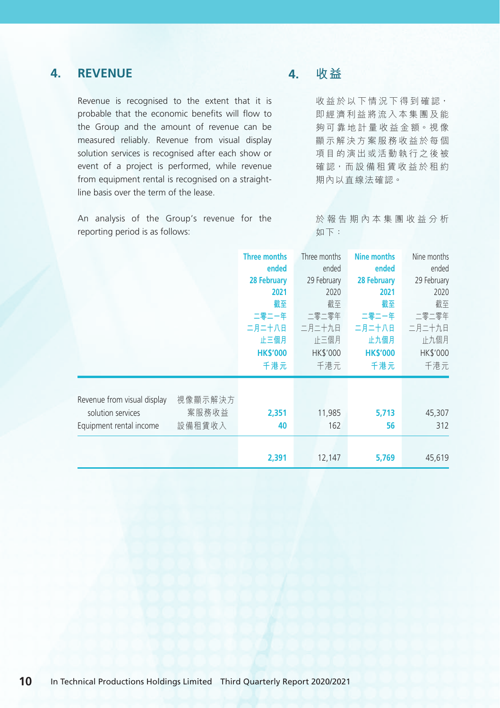### **4. REVENUE**

Revenue is recognised to the extent that it is probable that the economic benefits will flow to the Group and the amount of revenue can be measured reliably. Revenue from visual display solution services is recognised after each show or event of a project is performed, while revenue from equipment rental is recognised on a straightline basis over the term of the lease.

An analysis of the Group's revenue for the reporting period is as follows:

### **4. 收益**

收益於以下情況下得到確認, 即經濟利益將流入本集團及能 夠 可 靠 地 計 量 收 益 金 額。視 像 顯示解決方案服務收益於每個 項目的演出或活動執行之後被 確認,而設備和賃收益於和約 期內以直線法確認。

於報告期內本集團收益分析 如下:

|                                                                             |                            | <b>Three months</b><br>ended<br>28 February<br>2021<br>截至<br>二零二一年<br>二月二十八日<br>止三個月<br><b>HK\$'000</b><br>千港元 | Three months<br>ended<br>29 February<br>2020<br>截至<br>二零二零年<br>二月二十九日<br>止三個月<br><b>HK\$'000</b><br>千港元 | <b>Nine months</b><br>ended<br>28 February<br>2021<br>截至<br>二零二一年<br>二月二十八日<br>止九個月<br><b>HK\$'000</b><br>千港元 | Nine months<br>ended<br>29 February<br>2020<br>截至<br>二零二零年<br>二月二十九日<br>止九個月<br>HK\$'000<br>千港元 |
|-----------------------------------------------------------------------------|----------------------------|----------------------------------------------------------------------------------------------------------------|---------------------------------------------------------------------------------------------------------|---------------------------------------------------------------------------------------------------------------|-------------------------------------------------------------------------------------------------|
| Revenue from visual display<br>solution services<br>Equipment rental income | 視像顯示解決方<br>案服務收益<br>設備租賃收入 | 2,351<br>40                                                                                                    | 11,985<br>162                                                                                           | 5,713<br>56                                                                                                   | 45,307<br>312                                                                                   |
|                                                                             |                            | 2,391                                                                                                          | 12,147                                                                                                  | 5,769                                                                                                         | 45,619                                                                                          |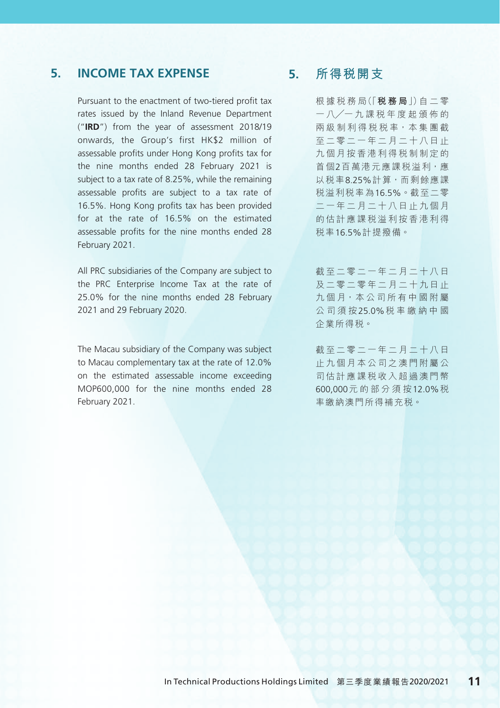### **5. INCOME TAX EXPENSE**

Pursuant to the enactment of two-tiered profit tax rates issued by the Inland Revenue Department ("**IRD**") from the year of assessment 2018/19 onwards, the Group's first HK\$2 million of assessable profits under Hong Kong profits tax for the nine months ended 28 February 2021 is subject to a tax rate of 8.25%, while the remaining assessable profits are subject to a tax rate of 16.5%. Hong Kong profits tax has been provided for at the rate of 16.5% on the estimated assessable profits for the nine months ended 28 February 2021.

All PRC subsidiaries of the Company are subject to the PRC Enterprise Income Tax at the rate of 25.0% for the nine months ended 28 February 2021 and 29 February 2020.

The Macau subsidiary of the Company was subject to Macau complementary tax at the rate of 12.0% on the estimated assessable income exceeding MOP600,000 for the nine months ended 28 February 2021.

### **5. 所得稅開支**

根 據 稅 務 局(「**稅務局**」)自 二 零 一 八╱一 九 課 稅 年 度 起 頒 佈 的 兩 級 制 利 得 稅 稅 率,本 集 團 截 至二零二一年二月二十八日止 九個月按香港利得稅制制定的 首個2百萬港元應課稅溢利,應 以稅率8.25%計算,而剩餘應課 稅溢利稅率為16.5%。截至二零 二一年二月二十八日止九個月 的估計應課稅溢利按香港利得 稅率16.5%計提撥備。

截至二零二一年二月二十八日 及二零二零年二月二十九日止 九個月,本公司所有中國附屬 公司須按25.0%稅率繳納中國 企業所得稅。

截至二零二一年二月二十八日 止九個月本公司之澳門附屬公 司估計應課稅收入超過澳門幣 600,000元的部分須按12.0%稅 率繳納澳門所得補充稅。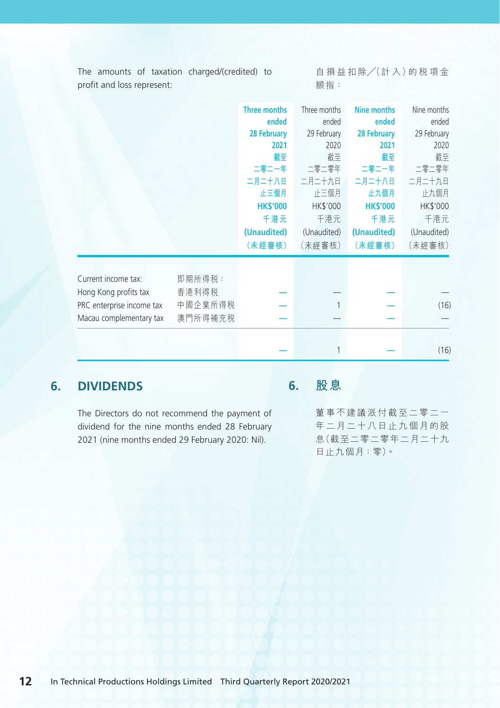The amounts of taxation charged/(credited) to profit and loss represent:

自 損 益 扣 除╱(計 入)的 稅 項 金 額指:

|                                       | 截至<br>二零二一年<br>二月二十八日<br>止三個月<br><b>HK\$'000</b><br>千港元<br>(Unaudited)<br>(未經審核) | 截至<br>二零二零年<br>二月二十九日<br>止三個月<br>HK\$'000<br>千港元<br>(Unaudited)<br>(未經審核) | 截至<br>二零二一年<br>二月二十八日<br>止九個月<br><b>HK\$'000</b><br>千港元<br>(Unaudited)<br>(未經審核) | 2020<br>截至<br>二零二零年<br>二月二十九日<br>止九個月<br>HK\$'000<br>千港元<br>(Unaudited)<br>(未經審核) |
|---------------------------------------|----------------------------------------------------------------------------------|---------------------------------------------------------------------------|----------------------------------------------------------------------------------|-----------------------------------------------------------------------------------|
| 即期所得税:<br>香港利得税<br>中國企業所得税<br>澳門所得補充税 |                                                                                  |                                                                           |                                                                                  | (16)                                                                              |
|                                       |                                                                                  |                                                                           | 1                                                                                | 2021<br>2020<br>2021                                                              |

### **6. DIVIDENDS**

The Directors do not recommend the payment of dividend for the nine months ended 28 February 2021 (nine months ended 29 February 2020: Nil).

## **6. 股息**

董事不建議派付截至二零二一 年二月二十八日止九個月的股 息(截至二零二零年二月二十九 日止九個月:零)。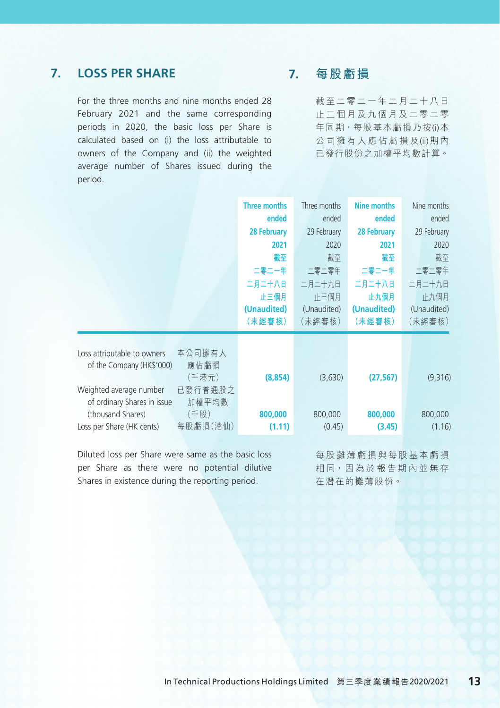### **7. LOSS PER SHARE**

For the three months and nine months ended 28 February 2021 and the same corresponding periods in 2020, the basic loss per Share is calculated based on (i) the loss attributable to owners of the Company and (ii) the weighted average number of Shares issued during the period.

### **7. 每股虧損**

截至二零二一年二月二十八日 止三個月及九個月及二零二零 年同期,每股基本虧損乃按(i)本 公司擁有人應佔虧損及(ii)期 內 已發行股份之加權平均數計算。

|                                                                                                                                         |                                                     | <b>Three months</b><br>ended<br>28 February<br>2021<br>截至<br>二零二一年<br>二月二十八日<br>止三個月<br>(Unaudited)<br>(未經審核) | Three months<br>ended<br>29 February<br>2020<br>截至<br>二零二零年<br>二月二十九日<br>正三個月<br>(Unaudited)<br>(未經審核) | <b>Nine months</b><br>ended<br>28 February<br>2021<br>截至<br>二零二一年<br>二月二十八日<br>止九個月<br>(Unaudited)<br>(未經審核) | Nine months<br>ended<br>29 February<br>2020<br>截至<br>二零二零年<br>二月二十九日<br>止九個月<br>(Unaudited)<br>(未經審核) |
|-----------------------------------------------------------------------------------------------------------------------------------------|-----------------------------------------------------|---------------------------------------------------------------------------------------------------------------|--------------------------------------------------------------------------------------------------------|--------------------------------------------------------------------------------------------------------------|-------------------------------------------------------------------------------------------------------|
| Loss attributable to owners<br>of the Company (HK\$'000)<br>Weighted average number<br>of ordinary Shares in issue<br>(thousand Shares) | 本公司擁有人<br>應佔虧損<br>(千港元)<br>已發行普通股之<br>加權平均數<br>(千股) | (8, 854)<br>800,000                                                                                           | (3,630)<br>800,000                                                                                     | (27, 567)<br>800,000                                                                                         | (9,316)<br>800,000                                                                                    |
| Loss per Share (HK cents)                                                                                                               | 每股虧損(港仙)                                            | (1.11)                                                                                                        | (0.45)                                                                                                 | (3.45)                                                                                                       | (1.16)                                                                                                |

Diluted loss per Share were same as the basic loss per Share as there were no potential dilutive Shares in existence during the reporting period.

每股攤薄虧損與每股基本虧損 相同,因為於報告期內並無存 在潛在的攤薄股份。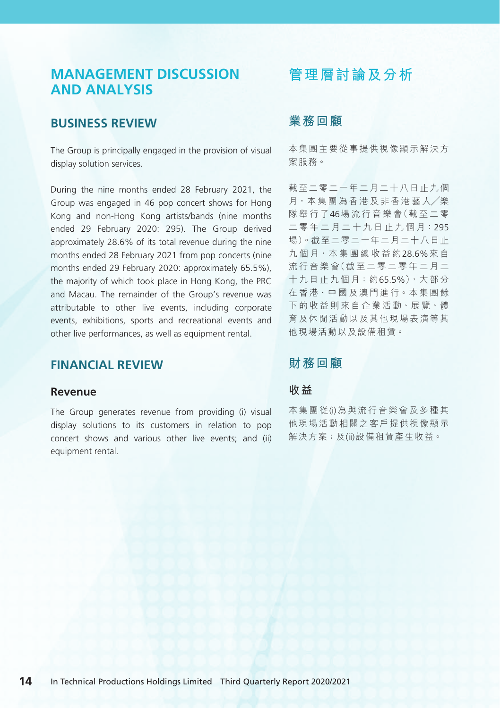## **MANAGEMENT DISCUSSION AND ANALYSIS**

### **BUSINESS REVIEW**

The Group is principally engaged in the provision of visual display solution services.

During the nine months ended 28 February 2021, the Group was engaged in 46 pop concert shows for Hong Kong and non-Hong Kong artists/bands (nine months ended 29 February 2020: 295). The Group derived approximately 28.6% of its total revenue during the nine months ended 28 February 2021 from pop concerts (nine months ended 29 February 2020: approximately 65.5%), the majority of which took place in Hong Kong, the PRC and Macau. The remainder of the Group's revenue was attributable to other live events, including corporate events, exhibitions, sports and recreational events and other live performances, as well as equipment rental.

### **FINANCIAL REVIEW**

#### **Revenue**

The Group generates revenue from providing (i) visual display solutions to its customers in relation to pop concert shows and various other live events; and (ii) equipment rental.

## **管理層討論及分析**

### **業務回顧**

本集團主要從事提供視像顯示解決方 案服務。

截至二零二一年二月二十八日止九個 月,本集團為香港及非香港藝人/樂 隊舉行了46場流行音樂會(截至二零 二 零 年 二 月 二 十 九 日 止 九 個 月:295 場)。截至二零二一年二月二十八日止 九個月,本集團總收益約28.6%來自 流行音樂會(截至二零二零年二月二 十九日止九個月:約65.5%),大部分 在 香 港、中 國 及 澳 門 進 行。本 集 團 餘 下 的 收 益 則 來 自 企 業 活 動、展 覽、體 育及休閒活動以及其他現場表演等其 他現場活動以及設備租賃。

### **財務回顧**

#### **收益**

本集團從(i)為與流行音樂會及多種其 他現場活動相關之客戶提供視像顯示 解決方案;及(ii)設備租賃產生收益。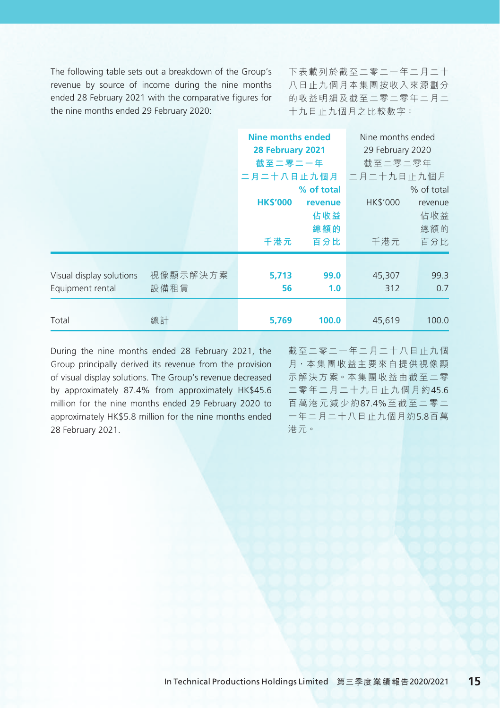The following table sets out a breakdown of the Group's revenue by source of income during the nine months ended 28 February 2021 with the comparative figures for the nine months ended 29 February 2020:

下表載列於截至二零二一年二月二十 八日止九個月本集團按收入來源劃分 的收益明細及截至二零二零年二月二 十九日止九個月之比較數字:

|                                              |                  |                        | <b>Nine months ended</b><br>28 February 2021<br>截至二零二一年<br>二月二十八日止九個月 |                 | Nine months ended<br>29 February 2020<br>截至二零二零年<br>二月二十九日止九個月 |
|----------------------------------------------|------------------|------------------------|-----------------------------------------------------------------------|-----------------|----------------------------------------------------------------|
|                                              |                  | <b>HK\$'000</b><br>千港元 | % of total<br>revenue<br>佔收益<br>總額的<br>百分比                            | HK\$'000<br>千港元 | % of total<br>revenue<br>佔收益<br>總額的<br>百分比                     |
| Visual display solutions<br>Equipment rental | 視像顯示解決方案<br>設備租賃 | 5,713<br>56            | 99.0<br>1.0                                                           | 45,307<br>312   | 99.3<br>0.7                                                    |
| Total                                        | 總計               | 5,769                  | 100.0                                                                 | 45,619          | 100.0                                                          |

During the nine months ended 28 February 2021, the Group principally derived its revenue from the provision of visual display solutions. The Group's revenue decreased by approximately 87.4% from approximately HK\$45.6 million for the nine months ended 29 February 2020 to approximately HK\$5.8 million for the nine months ended 28 February 2021.

截至二零二一年二月二十八日止九個 月,本集團收益主要來自提供視像顯 示 解 決 方 案。本 集 團 收 益 由 截 至 二 零 二零年二月二十九日止九個月約45.6 百萬港元減少約87.4%至截至二零二 一年二月二十八日止九個月約5.8百萬 港元。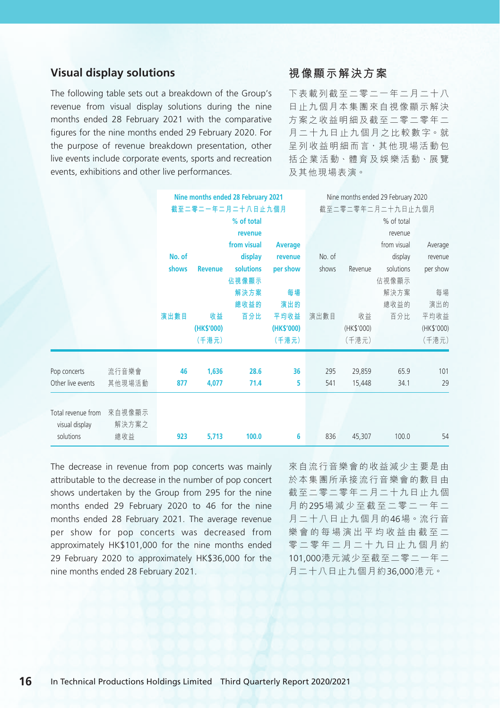### **Visual display solutions**

The following table sets out a breakdown of the Group's revenue from visual display solutions during the nine months ended 28 February 2021 with the comparative figures for the nine months ended 29 February 2020. For the purpose of revenue breakdown presentation, other live events include corporate events, sports and recreation events, exhibitions and other live performances.

#### **視像顯示解決方案**

下表載列截至二零二一年二月二十八 日止九個月本集團來自視像顯示解決 方案之收益明細及截至二零二零年二 月 二 十 九 日 止 九 個 月 之 比 較 數 字。就 呈 列 收 益 明 細 而 言, 其 他 現 場 活 動 包 括 企 業 活 動、體 育 及 娛 樂 活 動、展 覽 及其他現場表演。

|                                      |                 |        | Nine months ended 28 February 2021<br>截至二零二一年二月二十八日止九個月 |                  |            |        | Nine months ended 29 February 2020<br>截至二零二零年二月二十九日止九個月 |             |            |  |
|--------------------------------------|-----------------|--------|---------------------------------------------------------|------------------|------------|--------|---------------------------------------------------------|-------------|------------|--|
|                                      |                 |        |                                                         |                  |            |        |                                                         |             |            |  |
|                                      |                 |        |                                                         | % of total       |            |        |                                                         | % of total  |            |  |
|                                      |                 |        |                                                         | revenue          |            |        |                                                         | revenue     |            |  |
|                                      |                 |        |                                                         | from visual      | Average    |        |                                                         | from visual | Average    |  |
|                                      |                 | No. of |                                                         | display          | revenue    | No. of |                                                         | display     | revenue    |  |
|                                      |                 | shows  | <b>Revenue</b>                                          | <b>solutions</b> | per show   | shows  | Revenue                                                 | solutions   | per show   |  |
|                                      |                 |        |                                                         | 佔視像顯示            |            |        |                                                         | 佔視像顯示       |            |  |
|                                      |                 |        |                                                         | 解決方案             | 每場         |        |                                                         | 解決方案        | 每場         |  |
|                                      |                 |        |                                                         | 總收益的             | 演出的        |        |                                                         | 總收益的        | 演出的        |  |
|                                      |                 | 演出數目   | 收益                                                      | 百分比              | 平均收益       | 演出數目   | 收益                                                      | 百分比         | 平均收益       |  |
|                                      |                 |        | (HK\$'000)                                              |                  | (HK\$'000) |        | (HK\$'000)                                              |             | (HK\$'000) |  |
|                                      |                 |        | (千港元)                                                   |                  | (千港元)      |        | (千港元)                                                   |             | (千港元)      |  |
|                                      |                 |        |                                                         |                  |            |        |                                                         |             |            |  |
| Pop concerts                         | 流行音樂會           | 46     | 1,636                                                   | 28.6             | 36         | 295    | 29,859                                                  | 65.9        | 101        |  |
| Other live events                    | 其他現場活動          | 877    | 4,077                                                   | 71.4             | 5          | 541    | 15,448                                                  | 34.1        | 29         |  |
|                                      |                 |        |                                                         |                  |            |        |                                                         |             |            |  |
| Total revenue from<br>visual display | 來自視像顯示<br>解決方案之 |        |                                                         |                  |            |        |                                                         |             |            |  |
| solutions                            | 總收益             | 923    | 5,713                                                   | 100.0            | 6          | 836    | 45,307                                                  | 100.0       | 54         |  |

The decrease in revenue from pop concerts was mainly attributable to the decrease in the number of pop concert shows undertaken by the Group from 295 for the nine months ended 29 February 2020 to 46 for the nine months ended 28 February 2021. The average revenue per show for pop concerts was decreased from approximately HK\$101,000 for the nine months ended 29 February 2020 to approximately HK\$36,000 for the nine months ended 28 February 2021.

來自流行音樂會的收益減少主要是由 於本集團所承接流行音樂會的數目由 截至二零二零年二月二十九日止九個 月 的295場減少至截至二零二一年二 月二十八日止九個月的46場。流 行 音 樂會的每場演出平均收益由截至二 零二零年二月二十九日止九個月約 101,000港元減少至截至二零二一年二 月二十八日止九個月約36,000港元。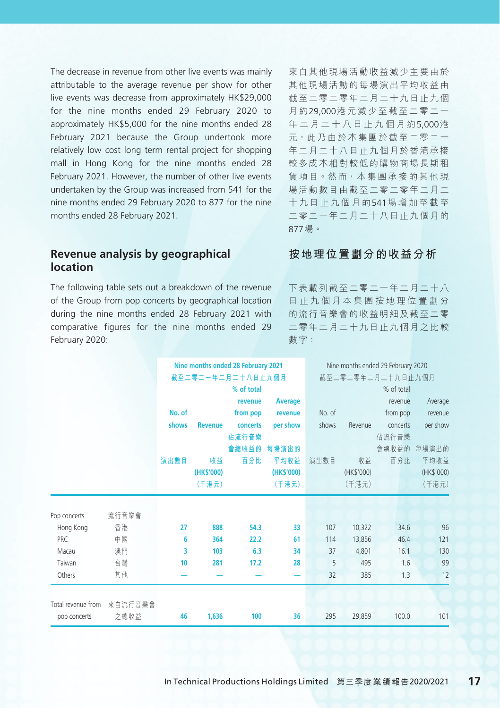The decrease in revenue from other live events was mainly attributable to the average revenue per show for other live events was decrease from approximately HK\$29,000 for the nine months ended 29 February 2020 to approximately HK\$5,000 for the nine months ended 28 February 2021 because the Group undertook more relatively low cost long term rental project for shopping mall in Hong Kong for the nine months ended 28 February 2021. However, the number of other live events undertaken by the Group was increased from 541 for the nine months ended 29 February 2020 to 877 for the nine months ended 28 February 2021.

#### **Revenue analysis by geographical location**

The following table sets out a breakdown of the revenue of the Group from pop concerts by geographical location during the nine months ended 28 February 2021 with comparative figures for the nine months ended 29 February 2020:

來自其他現場活動收益減少主要由於 其他現場活動的每場演出平均收益由 截至二零二零年二月二十九日止九個 月 約29,000港元減少至截至二零二一 年二月二十八日止九個月約5,000港 元,此乃由於本集團於截至二零二一 年二月二十八日止九個月於香港承接 較多成本相對較低的購物商場長期租 賃 項 目。然 而,本 集 團 承 接 的 其 他 現 場活動數目由截至二零二零年二月二 十九日止九個月的541場增加至截至 二零二一年二月二十八日止九個月的 877場。

#### **按地理位置劃分的收益分析**

下表載列截至二零二一年二月二十八 日止九個月本集團按地理位置劃分 的流行音樂會的收益明細及截至二零 二零年二月二十九日止九個月之比較 數字:

|                               |        | Nine months ended 28 February 2021 |                   |                |        | Nine months ended 29 February 2020 |                   |            |  |
|-------------------------------|--------|------------------------------------|-------------------|----------------|--------|------------------------------------|-------------------|------------|--|
|                               |        |                                    | 截至二零二一年二月二十八日止九個月 |                |        |                                    | 截至二零二零年二月二十九日止九個月 |            |  |
|                               |        |                                    | % of total        |                |        |                                    | % of total        |            |  |
|                               |        |                                    | revenue           | <b>Average</b> |        |                                    | revenue           | Average    |  |
|                               | No. of |                                    | from pop          | revenue        | No. of |                                    | from pop          | revenue    |  |
|                               | shows  | <b>Revenue</b>                     | concerts          | per show       | shows  | Revenue                            | concerts          | per show   |  |
|                               |        |                                    | 佔流行音樂             |                |        |                                    | 佔流行音樂             |            |  |
|                               |        |                                    | 會總收益的             | 每場演出的          |        |                                    | 會總收益的             | 每場演出的      |  |
|                               | 演出數目   | 收益                                 | 百分比               | 平均收益           | 演出數目   | 收益                                 | 百分比               | 平均收益       |  |
|                               |        | (HK\$'000)                         |                   | (HK\$'000)     |        | (HK\$'000)                         |                   | (HK\$'000) |  |
|                               |        | (千港元)                              |                   | (千港元)          |        | (千港元)                              |                   | (千港元)      |  |
|                               |        |                                    |                   |                |        |                                    |                   |            |  |
| 流行音樂會<br>Pop concerts         |        |                                    |                   |                |        |                                    |                   |            |  |
| 香港<br>Hong Kong               | 27     | 888                                | 54.3              | 33             | 107    | 10,322                             | 34.6              | 96         |  |
| 中國<br>PRC                     | 6      | 364                                | 22.2              | 61             | 114    | 13,856                             | 46.4              | 121        |  |
| 澳門<br>Macau                   | 3      | 103                                | 6.3               | 34             | 37     | 4,801                              | 16.1              | 130        |  |
| 台灣<br>Taiwan                  | 10     | 281                                | 17.2              | 28             | 5      | 495                                | 1.6               | 99         |  |
| Others<br>其他                  |        |                                    |                   |                | 32     | 385                                | 1.3               | 12         |  |
| Total revenue from<br>來自流行音樂會 |        |                                    |                   |                |        |                                    |                   |            |  |
| 之總收益<br>pop concerts          | 46     | 1,636                              | 100               | 36             | 295    | 29,859                             | 100.0             | 101        |  |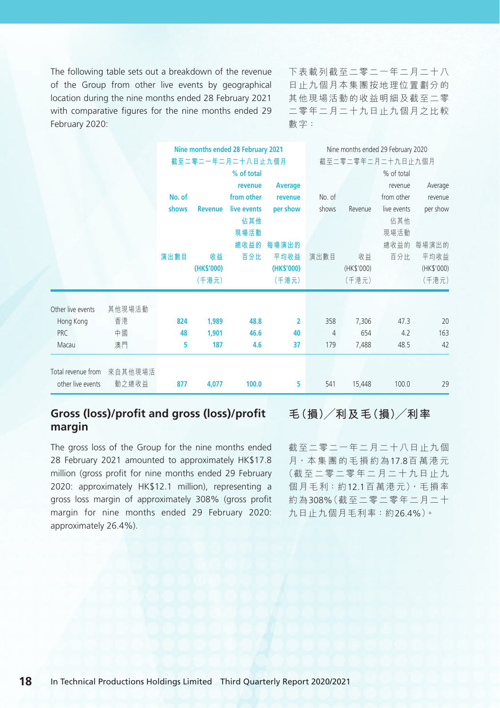The following table sets out a breakdown of the revenue of the Group from other live events by geographical location during the nine months ended 28 February 2021 with comparative figures for the nine months ended 29 February 2020:

下表載列截至二零二一年二月二十八 日止九個月本集團按地理位置劃分的 其他現場活動的收益明細及截至二零 二零年二月二十九日止九個月之比較 數字:

|                    |         |        |                | Nine months ended 28 February 2021 |                |                   |            | Nine months ended 29 February 2020 |            |
|--------------------|---------|--------|----------------|------------------------------------|----------------|-------------------|------------|------------------------------------|------------|
|                    |         |        |                | 截至二零二一年二月二十八日止九個月                  |                | 截至二零二零年二月二十九日止九個月 |            |                                    |            |
|                    |         |        |                | % of total                         |                |                   |            | % of total                         |            |
|                    |         |        |                | revenue                            | <b>Average</b> |                   |            | revenue                            | Average    |
|                    |         | No. of |                | from other                         | revenue        | No. of            |            | from other                         | revenue    |
|                    |         | shows  | <b>Revenue</b> | live events                        | per show       | shows             | Revenue    | live events                        | per show   |
|                    |         |        |                | 佔其他                                |                |                   |            | 佔其他                                |            |
|                    |         |        |                | 現場活動                               |                |                   |            | 現場活動                               |            |
|                    |         |        |                | 總收益的                               | 每場演出的          |                   |            | 總收益的                               | 每場演出的      |
|                    |         | 演出數目   | 收益             | 百分比                                | 平均收益           | 演出數目              | 收益         | 百分比                                | 平均收益       |
|                    |         |        | (HK\$'000)     |                                    | (HK\$'000)     |                   | (HK\$'000) |                                    | (HK\$'000) |
|                    |         |        | (千港元)          |                                    | (千港元)          |                   | (千港元)      |                                    | (千港元)      |
| Other live events  | 其他現場活動  |        |                |                                    |                |                   |            |                                    |            |
| Hong Kong          | 香港      | 824    | 1,989          | 48.8                               | $\overline{2}$ | 358               | 7,306      | 47.3                               | 20         |
| <b>PRC</b>         | 中國      | 48     | 1,901          | 46.6                               | 40             | 4                 | 654        | 4.2                                | 163        |
| Macau              | 澳門      | 5      | 187            | 4.6                                | 37             | 179               | 7,488      | 48.5                               | 42         |
|                    |         |        |                |                                    |                |                   |            |                                    |            |
|                    |         |        |                |                                    |                |                   |            |                                    |            |
| Total revenue from | 來自其他現場活 |        |                |                                    |                |                   |            |                                    |            |
| other live events  | 動之總收益   | 877    | 4,077          | 100.0                              | 5              | 541               | 15,448     | 100.0                              | 29         |

### **Gross (loss)/profit and gross (loss)/profit margin**

The gross loss of the Group for the nine months ended 28 February 2021 amounted to approximately HK\$17.8 million (gross profit for nine months ended 29 February 2020: approximately HK\$12.1 million), representing a gross loss margin of approximately 308% (gross profit margin for nine months ended 29 February 2020: approximately 26.4%).

#### **毛(損)╱利及毛(損)╱利率**

截至二零二一年二月二十八日止九個 月,本集團的毛損約為17.8百萬港元 (截至二零二零年二月二十九日止九 個月毛利:約12.1百萬港元),毛損率 約為308%(截至二零二零年二月二十 九日止九個月毛利率:約26.4%)。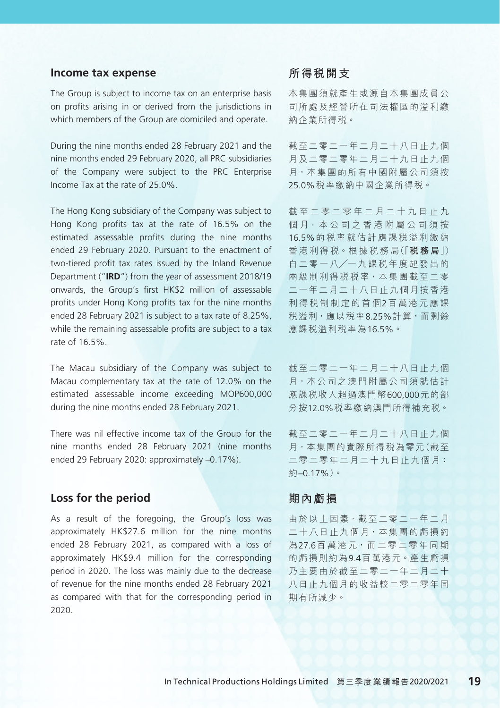#### **Income tax expense**

The Group is subject to income tax on an enterprise basis on profits arising in or derived from the jurisdictions in which members of the Group are domiciled and operate.

During the nine months ended 28 February 2021 and the nine months ended 29 February 2020, all PRC subsidiaries of the Company were subject to the PRC Enterprise Income Tax at the rate of 25.0%.

The Hong Kong subsidiary of the Company was subject to Hong Kong profits tax at the rate of 16.5% on the estimated assessable profits during the nine months ended 29 February 2020. Pursuant to the enactment of two-tiered profit tax rates issued by the Inland Revenue Department ("**IRD**") from the year of assessment 2018/19 onwards, the Group's first HK\$2 million of assessable profits under Hong Kong profits tax for the nine months ended 28 February 2021 is subject to a tax rate of 8.25%, while the remaining assessable profits are subject to a tax rate of 16.5%.

The Macau subsidiary of the Company was subject to Macau complementary tax at the rate of 12.0% on the estimated assessable income exceeding MOP600,000 during the nine months ended 28 February 2021.

There was nil effective income tax of the Group for the nine months ended 28 February 2021 (nine months ended 29 February 2020: approximately –0.17%).

#### **Loss for the period**

As a result of the foregoing, the Group's loss was approximately HK\$27.6 million for the nine months ended 28 February 2021, as compared with a loss of approximately HK\$9.4 million for the corresponding period in 2020. The loss was mainly due to the decrease of revenue for the nine months ended 28 February 2021 as compared with that for the corresponding period in 2020.

#### **所得稅開支**

本集團須就產生或源自本集團成員公 司所處及經營所在司法權區的溢利繳 納企業所得稅。

截至二零二一年二月二十八日止九個 月及二零二零年二月二十九日止九個 月,本集團的所有中國附屬公司須按 25.0%稅率繳納中國企業所得稅。

截至二零二零年二月二十九日止九 個月,本公司之香港附屬公司須按 16.5%的稅率就估計應課稅溢利繳納 香 港 利 得 稅。根 據 稅 務 局(「**稅務局**」) 自 二 零 一 八╱一 九 課 稅 年 度 起 發 出 的 兩 級 制 利 得 稅 稅 率,本 集 團 截 至 二 零 二一年二月二十八日止九個月按香港 利得稅制制定的首個2百萬港元應課 稅溢利,應以稅率8.25%計算,而剩餘 應課稅溢利稅率為16.5%。

截至二零二一年二月二十八日止九個 月,本 公 司 之 澳 門 附 屬 公 司 須 就 估 計 應課稅收入超過澳門幣600,000元的部 分按12.0%稅率繳納澳門所得補充稅。

截至二零二一年二月二十八日止九個 月,本集團的實際所得稅為零元(截至 二零 二零 年 二 月 二 十 九 日 止 九 個 月: 約–0.17%)。

#### **期內虧損**

由於以上因素,截至二零二一年二月 二十八日止九個月,本集團的虧損約 為27.6百萬港元,而二零二零年同期 的虧損則約為9.4百萬港元。產生虧損 乃主要由於截至二零二一年二月二十 八日止九個月的收益較二零二零年同 期有所減少。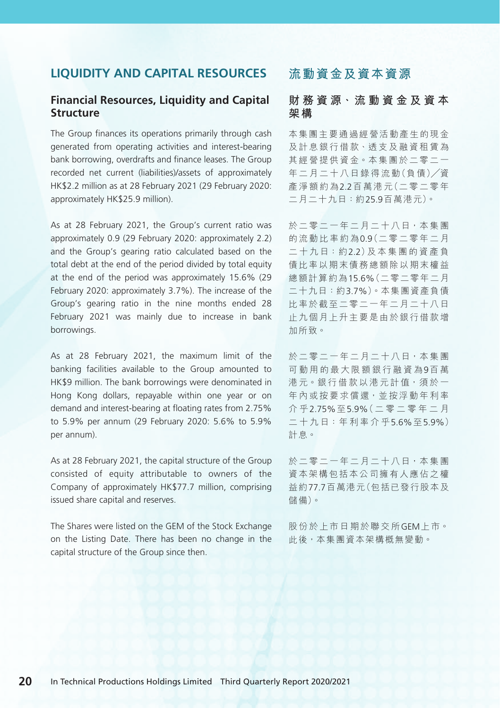### **LIQUIDITY AND CAPITAL RESOURCES**

#### **Financial Resources, Liquidity and Capital Structure**

The Group finances its operations primarily through cash generated from operating activities and interest-bearing bank borrowing, overdrafts and finance leases. The Group recorded net current (liabilities)/assets of approximately HK\$2.2 million as at 28 February 2021 (29 February 2020: approximately HK\$25.9 million).

As at 28 February 2021, the Group's current ratio was approximately 0.9 (29 February 2020: approximately 2.2) and the Group's gearing ratio calculated based on the total debt at the end of the period divided by total equity at the end of the period was approximately 15.6% (29 February 2020: approximately 3.7%). The increase of the Group's gearing ratio in the nine months ended 28 February 2021 was mainly due to increase in bank borrowings.

As at 28 February 2021, the maximum limit of the banking facilities available to the Group amounted to HK\$9 million. The bank borrowings were denominated in Hong Kong dollars, repayable within one year or on demand and interest-bearing at floating rates from 2.75% to 5.9% per annum (29 February 2020: 5.6% to 5.9% per annum).

As at 28 February 2021, the capital structure of the Group consisted of equity attributable to owners of the Company of approximately HK\$77.7 million, comprising issued share capital and reserves.

The Shares were listed on the GEM of the Stock Exchange on the Listing Date. There has been no change in the capital structure of the Group since then.

## **流動資金及資本資源**

#### **財 務 資 源、流 動 資 金 及 資 本 架構**

本集團主要通過經營活動產生的現金 及 計 息 銀 行 借 款、透 支 及 融 資 租 賃 為 其 經 營 提 供 資 金。本 集 團 於 二 零 二 一 年二月二十八日錄得流動(負債)/資 產淨額約為2.2百 萬 港 元(二 零 二 零 年 二月二十九日:約25.9百萬港元)。

於二零二一年二月二十八日,本集團 的流動比率約為0.9(二零二零年二月 二 十 九 日:約2.2)及 本 集 團 的 資 產 負 債比率以期末債務總額除以期末權益 總額計算約為15.6%(二零二零年二月 二十九日:約3.7%)。本集團資產負債 比率於截至二零二一年二月二十八日 止九個月上升主要是由於銀行借款增 加所致。

於二零二一年二月二十八日,本集團 可動用的最大限額銀行融資為9百 萬 港元。銀行借款以港元計值,須於一 年內或按要求償還,並按浮動年利率 介 乎2.75%至5.9%(二零二零年二月 二 十 九 日:年 利 率 介 乎5.6%至5.9%) 計息。

於二零二一年二月二十八日,本集團 資本架構包括本公司擁有人應佔之權 益約77.7百萬港元(包括已發行股本及 儲備)。

股份於上市日期於聯交所GEM上 市。 此後,本集團資本架構概無變動。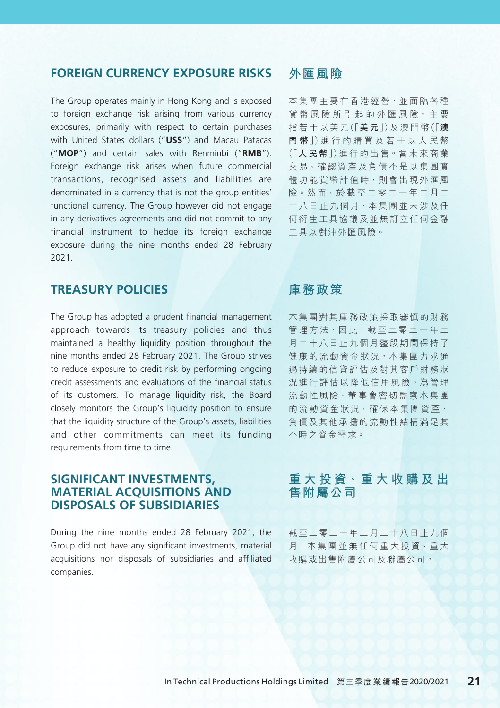#### **FOREIGN CURRENCY EXPOSURE RISKS**

The Group operates mainly in Hong Kong and is exposed to foreign exchange risk arising from various currency exposures, primarily with respect to certain purchases with United States dollars ("**US\$**") and Macau Patacas ("**MOP**") and certain sales with Renminbi ("**RMB**"). Foreign exchange risk arises when future commercial transactions, recognised assets and liabilities are denominated in a currency that is not the group entities' functional currency. The Group however did not engage in any derivatives agreements and did not commit to any financial instrument to hedge its foreign exchange exposure during the nine months ended 28 February 2021.

### **TREASURY POLICIES**

The Group has adopted a prudent financial management approach towards its treasury policies and thus maintained a healthy liquidity position throughout the nine months ended 28 February 2021. The Group strives to reduce exposure to credit risk by performing ongoing credit assessments and evaluations of the financial status of its customers. To manage liquidity risk, the Board closely monitors the Group's liquidity position to ensure that the liquidity structure of the Group's assets, liabilities and other commitments can meet its funding requirements from time to time.

#### **SIGNIFICANT INVESTMENTS, MATERIAL ACQUISITIONS AND DISPOSALS OF SUBSIDIARIES**

During the nine months ended 28 February 2021, the Group did not have any significant investments, material acquisitions nor disposals of subsidiaries and affiliated companies.

### **外匯風險**

本集團主要在香港經營,並面臨各種 省幣風險所引起的外匯風險,主要 指 若 干 以 美 元(「**美元**」)及 澳 門 幣(「**澳 門 幣**」)進 行 的 購 買 及 若 干 以 人 民 幣 (「**人民幣**」)進 行 的 出 售。當 未 來 商 業 交 易、確 認 資 產 及 負 債 不 是 以 集 團 實 體功能貨幣計值時,則會出現外匯風 險。然 而,於 截 至 二 零 二 一 年 二 月 二 十 八 日 止 九 個 月, 本 集 團 並 未 涉 及 仟 何衍生工具協議及並無訂立任何金融 工具以對沖外匯風險。

### **庫務政策**

本集團對其庫務政策採取審慎的財務 管理方法,因此,截至二零二一年二 月二十八日止九個月整段期間保持了 健 康 的 流 動 資 金 狀 況。本 集 團 力 求 通 過持續的信貸評估及對其客戶財務狀 況進行評估以降低信用風險。為管理 流動性風險,董事會密切監察本集團 的流動資金狀況,確保本集團資產、 負債及其他承擔的流動性結構滿足其 不時之資金需求。

### **重 大 投 資、重 大 收 購 及 出 售附屬公司**

截至二零二一年二月二十八日止九個 月,本集團並無任何重大投資、重大 收購或出售附屬公司及聯屬公司。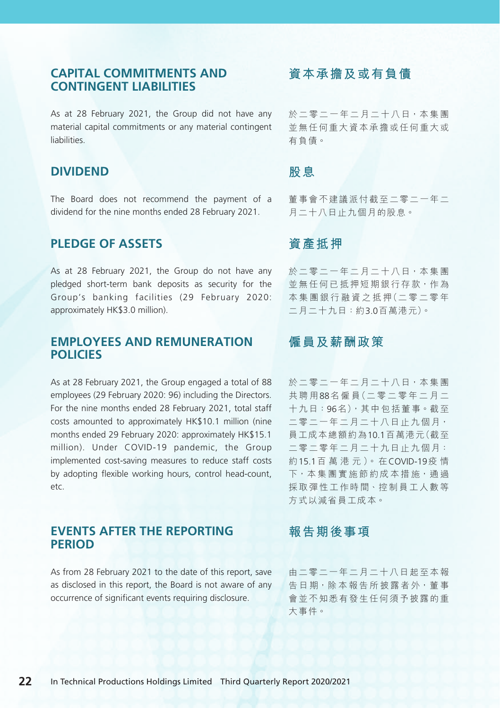### **CAPITAL COMMITMENTS AND CONTINGENT LIABILITIES**

As at 28 February 2021, the Group did not have any material capital commitments or any material contingent liabilities.

#### **DIVIDEND**

The Board does not recommend the payment of a dividend for the nine months ended 28 February 2021.

#### **PLEDGE OF ASSETS**

As at 28 February 2021, the Group do not have any pledged short-term bank deposits as security for the Group's banking facilities (29 February 2020: approximately HK\$3.0 million).

### **EMPLOYEES AND REMUNERATION POLICIES**

As at 28 February 2021, the Group engaged a total of 88 employees (29 February 2020: 96) including the Directors. For the nine months ended 28 February 2021, total staff costs amounted to approximately HK\$10.1 million (nine months ended 29 February 2020: approximately HK\$15.1 million). Under COVID-19 pandemic, the Group implemented cost-saving measures to reduce staff costs by adopting flexible working hours, control head-count, etc.

#### **EVENTS AFTER THE REPORTING PERIOD**

As from 28 February 2021 to the date of this report, save as disclosed in this report, the Board is not aware of any occurrence of significant events requiring disclosure.

### **資本承擔及或有負債**

於二零二一年二月二十八日,本集團 並無任何重大資本承擔或任何重大或 有負債。

### **股息**

董事會不建議派付截至二零二一年二 月二十八日止九個月的股息。

### **資產抵押**

於二零二一年二月二十八日,本集團 並無任何已抵押短期銀行存款,作為 本 集 團 銀 行 融 資 之 抵 押(二 零 二 零 年 二月二十九日:約3.0百萬港元)。

### **僱員及薪酬政策**

於二零二一年二月二十八日,本集團 共聘用88名 僱 員(二 零 二 零 年 二 月 二 十九日:96名),其中包括董事。截至 二零二一年二月二十八日 止九個月, 員工成本總額約為10.1百萬港元(截至 二零二零年二月二十九日 止九個月: 約15.1百 萬 港 元 )。 在COVID-19疫 情 下,本集團實施節約成本措施,通過 採 取 彈 性 工 作 時 間、控 制 員 工 人 數 等 方式以減省員工成本。

### **報告期後事項**

由二零二一年二月二十八日起至本報 **告日期,除本報告所披露者外,董事** 會並不知悉有發生任何須予披露的重 大事件。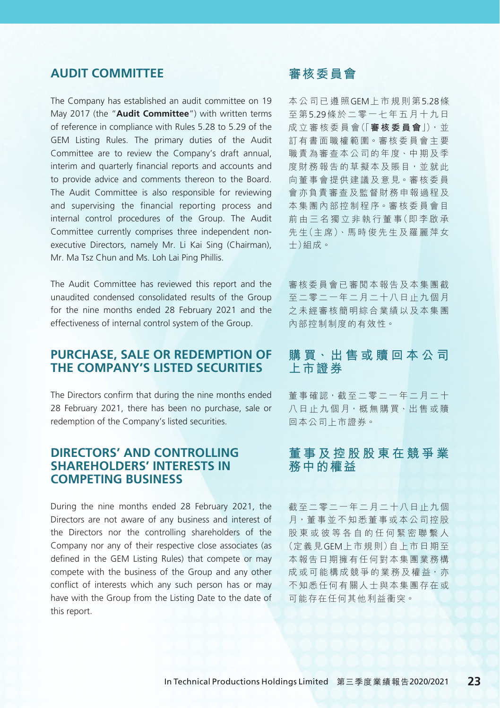### **AUDIT COMMITTEE**

The Company has established an audit committee on 19 May 2017 (the "**Audit Committee**") with written terms of reference in compliance with Rules 5.28 to 5.29 of the GEM Listing Rules. The primary duties of the Audit Committee are to review the Company's draft annual, interim and quarterly financial reports and accounts and to provide advice and comments thereon to the Board. The Audit Committee is also responsible for reviewing and supervising the financial reporting process and internal control procedures of the Group. The Audit Committee currently comprises three independent nonexecutive Directors, namely Mr. Li Kai Sing (Chairman), Mr. Ma Tsz Chun and Ms. Loh Lai Ping Phillis.

The Audit Committee has reviewed this report and the unaudited condensed consolidated results of the Group for the nine months ended 28 February 2021 and the effectiveness of internal control system of the Group.

#### **PURCHASE, SALE OR REDEMPTION OF THE COMPANY'S LISTED SECURITIES**

The Directors confirm that during the nine months ended 28 February 2021, there has been no purchase, sale or redemption of the Company's listed securities.

### **DIRECTORS' AND CONTROLLING SHAREHOLDERS' INTERESTS IN COMPETING BUSINESS**

During the nine months ended 28 February 2021, the Directors are not aware of any business and interest of the Directors nor the controlling shareholders of the Company nor any of their respective close associates (as defined in the GEM Listing Rules) that compete or may compete with the business of the Group and any other conflict of interests which any such person has or may have with the Group from the Listing Date to the date of this report.

## **審核委員會**

本公司已遵照GEM上市規則第5.28條 至 第5.29條於二零一七年五月十九日 成 立 審 核 委 員 會(「**審核委員會**」),並 訂有書面職權範圍。審核委員會主要 職責為審査本公司的年度、中期及季 度財務報告的草擬本及賬目,並就此 向董事會提供建議及意見。審核委員 會亦負責審查及監督財務申報過程及 本集團內部控制程序。審核委員會目 前 由 三 名 獨 立 非 執 行 董 事(即 李 啟 承 先生(主席)、馬時俊先生及羅麗萍女 士)組成。

審核委員會已審閱本報告及本集團截 至二零二一年二月二十八日止九個月 之未經審核簡明綜合業績以及本集團 內部控制制度的有效性。

### **購 買、出 售 或 贖 回 本 公 司 上市證券**

董事確認,截至二零二一年二月二十 八日 止 九 個 月, 概 無 購 買、 出 售 或 贖 回本公司上市證券。

#### **董事及控股股東在競爭業 務中的權益**

截至二零二一年二月二十八日止九個 月,董 事 並 不 知 悉 董 事 或 本 公 司 控 股 股東或彼等各自的任何緊密聯繫人 (定義見GEM上市規則)自上市日期至 本報告日期擁有任何對本集團業務構 成 或 可 能 構 成 競 爭 的 業 務 及 權 益, 亦 不知悉任何有關人士與本集團存在或 可能存在任何其他利益衝突。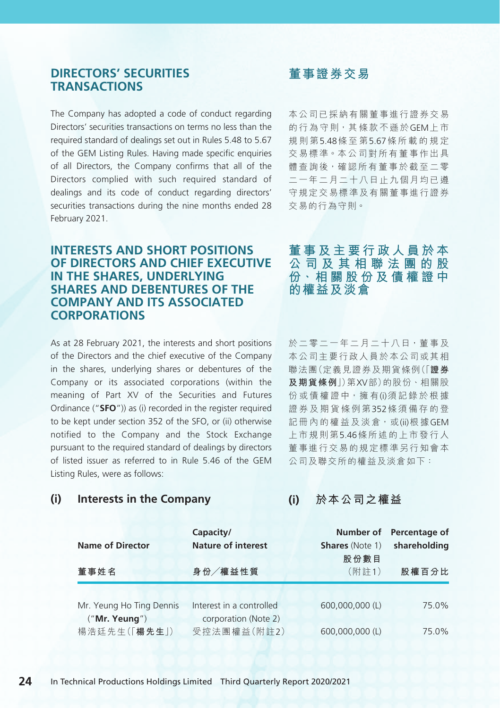#### **DIRECTORS' SECURITIES TRANSACTIONS**

The Company has adopted a code of conduct regarding Directors' securities transactions on terms no less than the required standard of dealings set out in Rules 5.48 to 5.67 of the GEM Listing Rules. Having made specific enquiries of all Directors, the Company confirms that all of the Directors complied with such required standard of dealings and its code of conduct regarding directors' securities transactions during the nine months ended 28 February 2021.

#### **INTERESTS AND SHORT POSITIONS OF DIRECTORS AND CHIEF EXECUTIVE IN THE SHARES, UNDERLYING SHARES AND DEBENTURES OF THE COMPANY AND ITS ASSOCIATED CORPORATIONS**

As at 28 February 2021, the interests and short positions of the Directors and the chief executive of the Company in the shares, underlying shares or debentures of the Company or its associated corporations (within the meaning of Part XV of the Securities and Futures Ordinance ("**SFO**")) as (i) recorded in the register required to be kept under section 352 of the SFO, or (ii) otherwise notified to the Company and the Stock Exchange pursuant to the required standard of dealings by directors of listed issuer as referred to in Rule 5.46 of the GEM Listing Rules, were as follows:

### **董事證券交易**

本公司已採納有關董事進行證券交易 的行為守則,其條款不遜於GEM上市 規則第5.48條至第5.67條所載的規定 交 易 標 準。本 公 司 對 所 有 董 事 作 出 具 體 杳 詢 後,確認 所 有 董 事 於 截 至 二 零 二一年二月二十八日止九個月均已遵 守規定交易標準及有關董事進行證券 交易的行為守則。

**董事及主要行政人員於本 公司及其相聯法團的股 份、相 關 股 份 及 債 權 證 中 的權益及淡倉**

於二零二一年二月二十八日,董事及 本公司主要行政人員於本公司或其相 聯法團(定義見證券及期貨條例(「**證券 及期貨條例**」)第XV部)的股份、相關股 份或債權證中,擁有(i)須記錄於根據 證券及期貨條例第352條須備存的登 記冊內的權益及淡倉,或(ii)根據GEM 上市規則第5.46條所述的上市發行人 董事進行交易的規定標準另行知會本 公司及聯交所的權益及淡倉如下:

**(i) Interests in the Company**

**(i) 於本公司之權益**

| <b>Name of Director</b>                   | Capacity/<br><b>Nature of interest</b>           | <b>Shares</b> (Note 1)<br>股份數目 | Number of Percentage of<br>shareholding |  |
|-------------------------------------------|--------------------------------------------------|--------------------------------|-----------------------------------------|--|
| 董事姓名                                      | 身份/權益性質                                          | (附註1)                          | 股權百分比                                   |  |
| Mr. Yeung Ho Ting Dennis<br>("Mr. Yeung") | Interest in a controlled<br>corporation (Note 2) | 600,000,000 (L)                | 75.0%                                   |  |
| 楊浩廷先生(「楊先生」)                              | 受控法團權益(附註2)                                      | 600,000,000 (L)                | 75.0%                                   |  |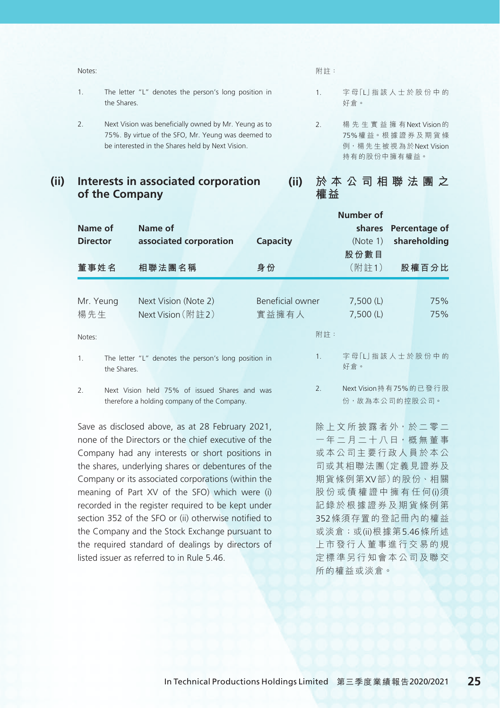| Notes: |                                                                     | 附註:                   |            |
|--------|---------------------------------------------------------------------|-----------------------|------------|
| 1.     | The letter "L" denotes the person's long position in<br>the Shares. |                       | 字母门<br>好倉。 |
| 2.     | Next Vision was beneficially owned by Mr. Yeung as to               | $\mathcal{P}_{\cdot}$ | 楊先生        |

<sup>75%.</sup> By virtue of the SFO, Mr. Yeung was deemed to be interested in the Shares held by Next Vision.

**(ii) Interests in associated corporation of the Company**

- L」指該人士於股份中的
- 生實益擁有Next Vision的 75%權 益。根 據 證 券 及 期 貨 條 例,楊 先 生 被 視 為 於Next Vision 持有的股份中擁有權益。

### **(ii) 於本公司相聯法團之 權益**

|                                                                       |                                                      |                  | Number of           |                        |  |
|-----------------------------------------------------------------------|------------------------------------------------------|------------------|---------------------|------------------------|--|
| Name of                                                               | Name of                                              |                  | shares              | Percentage of          |  |
| <b>Director</b>                                                       | associated corporation                               | Capacity         | (Note 1)            | shareholding           |  |
|                                                                       |                                                      |                  | 股份數目                |                        |  |
| 董事姓名                                                                  | 相聯法團名稱                                               | 身份               | (附註1)               | 股權百分比                  |  |
|                                                                       |                                                      |                  |                     |                        |  |
| Mr. Yeung                                                             | Next Vision (Note 2)                                 | Beneficial owner | $7,500$ (L)         | 75%                    |  |
| 楊先生                                                                   | Next Vision (附註2)                                    | 實益擁有人            | $7,500$ (L)         | 75%                    |  |
|                                                                       |                                                      |                  |                     |                        |  |
| Notes:                                                                |                                                      |                  | 附註:                 |                        |  |
| 1.<br>the Shares.                                                     | The letter "L" denotes the person's long position in |                  | 1.<br>好倉。           | 字母[L 指該人士於股份中的         |  |
|                                                                       |                                                      |                  |                     |                        |  |
| 2.                                                                    | Next Vision held 75% of issued Shares and was        |                  | 2.                  | Next Vision 持有75%的已發行股 |  |
|                                                                       | therefore a holding company of the Company.          |                  |                     | 份,故為本公司的控股公司。          |  |
|                                                                       | Save as disclosed above, as at 28 February 2021,     |                  | 除 上文所披露者外 · 於二零二    |                        |  |
|                                                                       | none of the Directors or the chief executive of the  |                  | 一年二月二十八日, 概無董事      |                        |  |
| 或本公司主要行政人員於本公<br>Company had any interests or short positions in      |                                                      |                  |                     |                        |  |
| 司或其相聯法團(定義見證券及<br>the shares, underlying shares or debentures of the  |                                                      |                  |                     |                        |  |
| 期貨條例第XV部)的股份、相關<br>Company or its associated corporations (within the |                                                      |                  |                     |                        |  |
| meaning of Part XV of the SFO) which were (i)<br>股份或債權證中擁有任何(i)須      |                                                      |                  |                     |                        |  |
| recorded in the register required to be kept under<br>記錄於根據證券及期貨條例第   |                                                      |                  |                     |                        |  |
|                                                                       | section 352 of the SFO or (ii) otherwise notified to | 352條須存置的登記冊內的權益  |                     |                        |  |
| the Company and the Stock Exchange pursuant to                        |                                                      |                  | 或淡倉;或(ii)根據第5.46條所述 |                        |  |
| the required standard of dealings by directors of<br>上市發行人董事進行交易的規    |                                                      |                  |                     |                        |  |
|                                                                       | listed issuer as referred to in Rule 5.46.           |                  | 定標準另行知會本公司及聯交       |                        |  |
|                                                                       |                                                      |                  | 所的權益或淡倉。            |                        |  |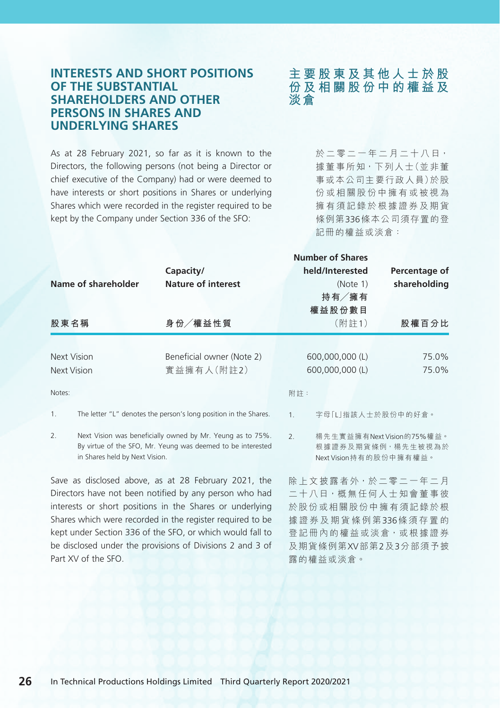#### **26** In Technical Productions Holdings Limited Third Quarterly Report 2020/2021

#### **INTERESTS AND SHORT POSITIONS OF THE SUBSTANTIAL SHAREHOLDERS AND OTHER PERSONS IN SHARES AND UNDERLYING SHARES**

As at 28 February 2021, so far as it is known to the Directors, the following persons (not being a Director or chief executive of the Company) had or were deemed to have interests or short positions in Shares or underlying Shares which were recorded in the register required to be kept by the Company under Section 336 of the SFO:

**主要股東及其他人士於股 份及相關股份中的權益及 淡倉**

> 於二零二一年二月二十八日, 據董事所知,下列人士(並非董 事或本公司主要行政人員)於股 份或相關股份中擁有或被視為 擁有須記錄於根據證券及期貨 條例第336條本公司須存置的登 記冊的權益或淡倉:

| Name of shareholder                  | Capacity/<br><b>Nature of interest</b>                                                                                    | <b>Number of Shares</b><br>held/Interested<br>(Note 1)<br>持有/擁有<br>權益股份數目       | Percentage of<br>shareholding |  |
|--------------------------------------|---------------------------------------------------------------------------------------------------------------------------|---------------------------------------------------------------------------------|-------------------------------|--|
| 股東名稱                                 | 身份/權益性質                                                                                                                   | (附註1)                                                                           | 股權百分比                         |  |
| Next Vision                          | Beneficial owner (Note 2)                                                                                                 | 600,000,000 (L)                                                                 | 75.0%                         |  |
| Next Vision                          | 實益擁有人(附註2)                                                                                                                | 600,000,000 (L)                                                                 | 75.0%                         |  |
| Notes:                               |                                                                                                                           | 附註:                                                                             |                               |  |
| 1.                                   | The letter "L" denotes the person's long position in the Shares.                                                          | 字母「L 指該人士於股份中的好倉。<br>1 <sup>1</sup>                                             |                               |  |
| 2.<br>in Shares held by Next Vision. | Next Vision was beneficially owned by Mr. Yeung as to 75%.<br>By virtue of the SFO, Mr. Yeung was deemed to be interested | 楊先生實益擁有Next Vision的75%權益。<br>2.5<br>根據證券及期貨條例,楊先生被視為於<br>Next Vision持有的股份中擁有權益。 |                               |  |
|                                      | Save as disclosed above, as at 28 February 2021, the<br>Directors have not been notified by any person who had            | 除 上文 披露者外, 於二零二一年二月                                                             |                               |  |

Directors have not been notified by any person who had interests or short positions in the Shares or underlying Shares which were recorded in the register required to be kept under Section 336 of the SFO, or which would fall to be disclosed under the provisions of Divisions 2 and 3 of Part XV of the SFO.

二十八日, 概無任何人士知會董事彼 於股份或相關股份中擁有須記錄於根 據證券及期貨條例第336條須存置的 登記冊內的權益或淡倉,或根據證券 及期貨條例第XV部第2及3分部須予披 露的權益或淡倉。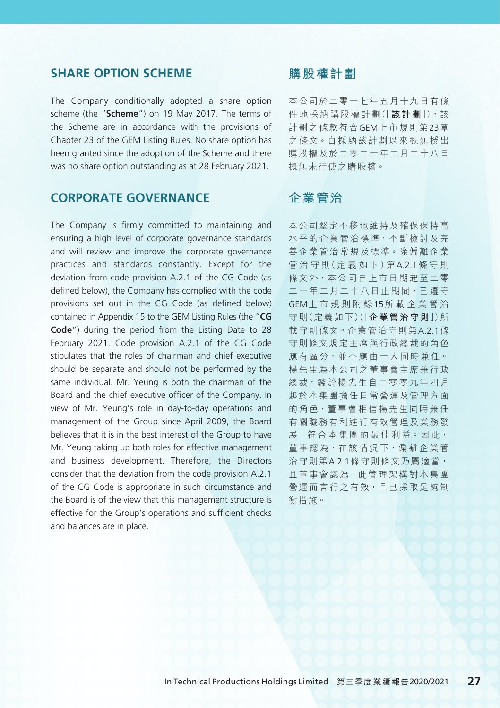#### **SHARE OPTION SCHEME**

The Company conditionally adopted a share option scheme (the "**Scheme**") on 19 May 2017. The terms of the Scheme are in accordance with the provisions of Chapter 23 of the GEM Listing Rules. No share option has been granted since the adoption of the Scheme and there was no share option outstanding as at 28 February 2021.

### **CORPORATE GOVERNANCE**

The Company is firmly committed to maintaining and ensuring a high level of corporate governance standards and will review and improve the corporate governance practices and standards constantly. Except for the deviation from code provision A.2.1 of the CG Code (as defined below), the Company has complied with the code provisions set out in the CG Code (as defined below) contained in Appendix 15 to the GEM Listing Rules (the "**CG Code**") during the period from the Listing Date to 28 February 2021. Code provision A.2.1 of the CG Code stipulates that the roles of chairman and chief executive should be separate and should not be performed by the same individual. Mr. Yeung is both the chairman of the Board and the chief executive officer of the Company. In view of Mr. Yeung's role in day-to-day operations and management of the Group since April 2009, the Board believes that it is in the best interest of the Group to have Mr. Yeung taking up both roles for effective management and business development. Therefore, the Directors consider that the deviation from the code provision A.2.1 of the CG Code is appropriate in such circumstance and the Board is of the view that this management structure is effective for the Group's operations and sufficient checks and balances are in place.

### **購股權計劃**

本公司於二零一七年五月十九日有條 件 地 採 納 購 股 權 計 劃(「**該計劃**」)。該 計劃之條款符合GEM上市規則第23章 之條文。自採納該計劃以來概無授出 購股權及於二零二一年二月二十八日 概無未行使之購股權。

## **企業管治**

本公司堅定不移地維持及確保保持高 水平的企業管治標準,不斷檢討及完 善 企 業 管 治 常 規 及 標 準。除 偏 離 企 業 管 治 守 則(定 義 如 下)第A.2.1條守則 條文外,本公司自上市日期起至二零 二 一 年 二 月 二 十 八 日 止 期 間, 已 遵 守 GEM上市規則附錄15所載企業管治 守 則(定 義 如 下)(「**企業管治守則**」)所 載守則條文。企業管治守則第A21條 守則條文規定主席與行政總裁的角色 應 有 區 分, 並 不 應 由 一 人 同 時 兼 任。 楊先生為本公司之董事會主席兼行政 總 裁。鑑 於 楊 先 生 自 二 零 零 九 年 四 月 起於本集團擔任日常營運及管理方面 的角色,董事會相信楊先生同時兼任 有關職務有利進行有效管理及業務發 展,符合本集團的最佳利益。因此, 董 事 認 為, 在 該 情 況 下, 偏 離 企 業 管 治守則第A.2.1條守則條文乃屬適當, 日董事會認為,此管理架構對本集團 營運而言行之有效,且已採取足夠制 衡措施。